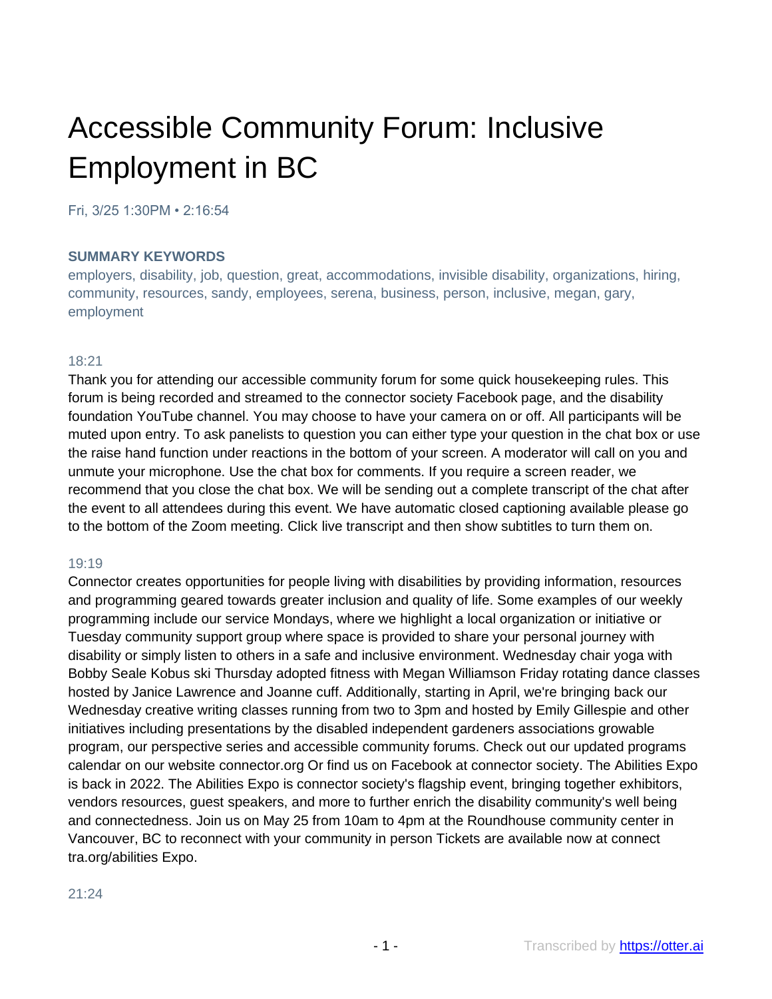# Accessible Community Forum: Inclusive Employment in BC

Fri, 3/25 1:30PM • 2:16:54

#### **SUMMARY KEYWORDS**

employers, disability, job, question, great, accommodations, invisible disability, organizations, hiring, community, resources, sandy, employees, serena, business, person, inclusive, megan, gary, employment

#### 18:21

Thank you for attending our accessible community forum for some quick housekeeping rules. This forum is being recorded and streamed to the connector society Facebook page, and the disability foundation YouTube channel. You may choose to have your camera on or off. All participants will be muted upon entry. To ask panelists to question you can either type your question in the chat box or use the raise hand function under reactions in the bottom of your screen. A moderator will call on you and unmute your microphone. Use the chat box for comments. If you require a screen reader, we recommend that you close the chat box. We will be sending out a complete transcript of the chat after the event to all attendees during this event. We have automatic closed captioning available please go to the bottom of the Zoom meeting. Click live transcript and then show subtitles to turn them on.

#### 19:19

Connector creates opportunities for people living with disabilities by providing information, resources and programming geared towards greater inclusion and quality of life. Some examples of our weekly programming include our service Mondays, where we highlight a local organization or initiative or Tuesday community support group where space is provided to share your personal journey with disability or simply listen to others in a safe and inclusive environment. Wednesday chair yoga with Bobby Seale Kobus ski Thursday adopted fitness with Megan Williamson Friday rotating dance classes hosted by Janice Lawrence and Joanne cuff. Additionally, starting in April, we're bringing back our Wednesday creative writing classes running from two to 3pm and hosted by Emily Gillespie and other initiatives including presentations by the disabled independent gardeners associations growable program, our perspective series and accessible community forums. Check out our updated programs calendar on our website connector.org Or find us on Facebook at connector society. The Abilities Expo is back in 2022. The Abilities Expo is connector society's flagship event, bringing together exhibitors, vendors resources, guest speakers, and more to further enrich the disability community's well being and connectedness. Join us on May 25 from 10am to 4pm at the Roundhouse community center in Vancouver, BC to reconnect with your community in person Tickets are available now at connect tra.org/abilities Expo.

#### 21:24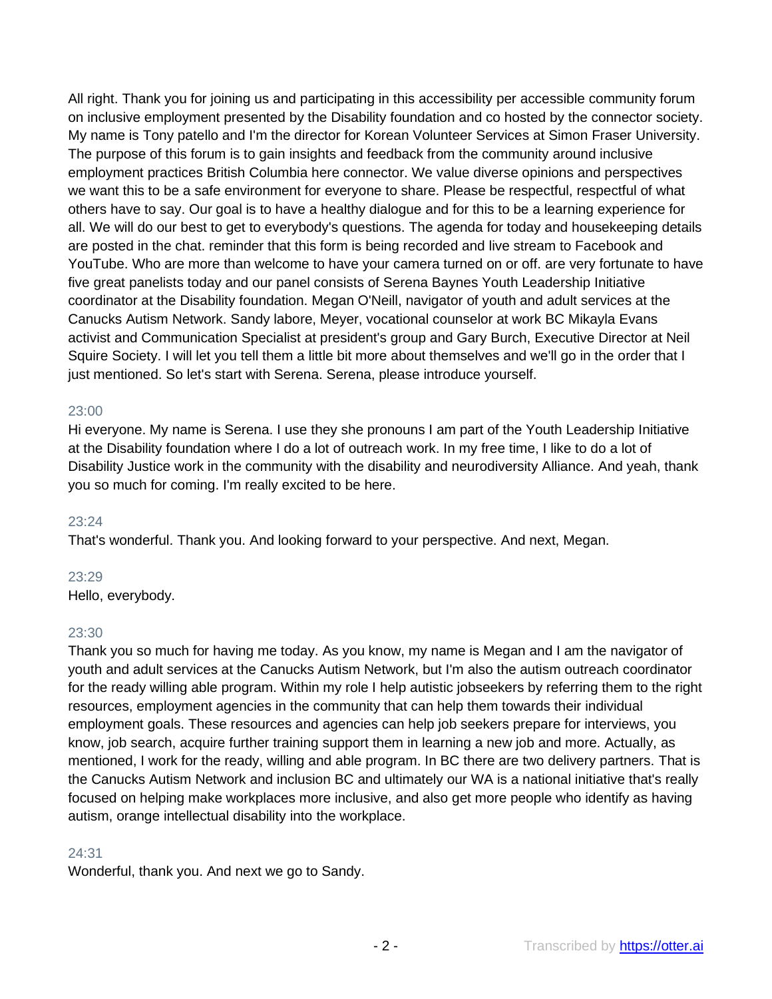All right. Thank you for joining us and participating in this accessibility per accessible community forum on inclusive employment presented by the Disability foundation and co hosted by the connector society. My name is Tony patello and I'm the director for Korean Volunteer Services at Simon Fraser University. The purpose of this forum is to gain insights and feedback from the community around inclusive employment practices British Columbia here connector. We value diverse opinions and perspectives we want this to be a safe environment for everyone to share. Please be respectful, respectful of what others have to say. Our goal is to have a healthy dialogue and for this to be a learning experience for all. We will do our best to get to everybody's questions. The agenda for today and housekeeping details are posted in the chat. reminder that this form is being recorded and live stream to Facebook and YouTube. Who are more than welcome to have your camera turned on or off. are very fortunate to have five great panelists today and our panel consists of Serena Baynes Youth Leadership Initiative coordinator at the Disability foundation. Megan O'Neill, navigator of youth and adult services at the Canucks Autism Network. Sandy labore, Meyer, vocational counselor at work BC Mikayla Evans activist and Communication Specialist at president's group and Gary Burch, Executive Director at Neil Squire Society. I will let you tell them a little bit more about themselves and we'll go in the order that I just mentioned. So let's start with Serena. Serena, please introduce yourself.

#### 23:00

Hi everyone. My name is Serena. I use they she pronouns I am part of the Youth Leadership Initiative at the Disability foundation where I do a lot of outreach work. In my free time, I like to do a lot of Disability Justice work in the community with the disability and neurodiversity Alliance. And yeah, thank you so much for coming. I'm really excited to be here.

#### 23:24

That's wonderful. Thank you. And looking forward to your perspective. And next, Megan.

#### 23:29

Hello, everybody.

#### 23:30

Thank you so much for having me today. As you know, my name is Megan and I am the navigator of youth and adult services at the Canucks Autism Network, but I'm also the autism outreach coordinator for the ready willing able program. Within my role I help autistic jobseekers by referring them to the right resources, employment agencies in the community that can help them towards their individual employment goals. These resources and agencies can help job seekers prepare for interviews, you know, job search, acquire further training support them in learning a new job and more. Actually, as mentioned, I work for the ready, willing and able program. In BC there are two delivery partners. That is the Canucks Autism Network and inclusion BC and ultimately our WA is a national initiative that's really focused on helping make workplaces more inclusive, and also get more people who identify as having autism, orange intellectual disability into the workplace.

## 24:31

Wonderful, thank you. And next we go to Sandy.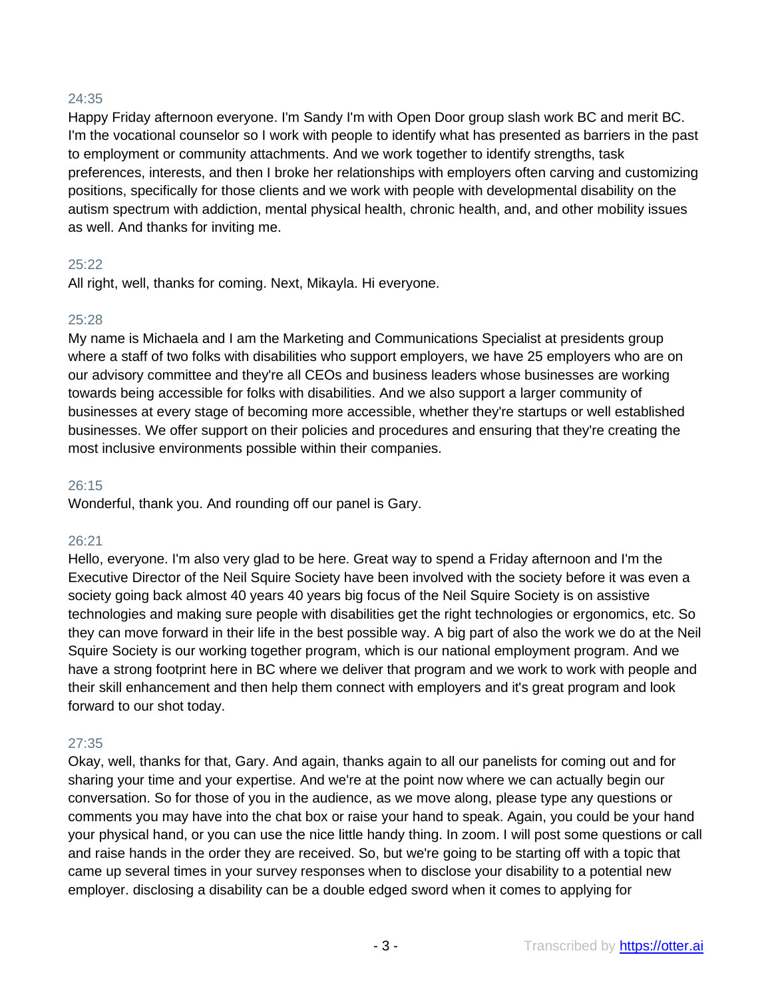# 24:35

Happy Friday afternoon everyone. I'm Sandy I'm with Open Door group slash work BC and merit BC. I'm the vocational counselor so I work with people to identify what has presented as barriers in the past to employment or community attachments. And we work together to identify strengths, task preferences, interests, and then I broke her relationships with employers often carving and customizing positions, specifically for those clients and we work with people with developmental disability on the autism spectrum with addiction, mental physical health, chronic health, and, and other mobility issues as well. And thanks for inviting me.

## 25:22

All right, well, thanks for coming. Next, Mikayla. Hi everyone.

# 25:28

My name is Michaela and I am the Marketing and Communications Specialist at presidents group where a staff of two folks with disabilities who support employers, we have 25 employers who are on our advisory committee and they're all CEOs and business leaders whose businesses are working towards being accessible for folks with disabilities. And we also support a larger community of businesses at every stage of becoming more accessible, whether they're startups or well established businesses. We offer support on their policies and procedures and ensuring that they're creating the most inclusive environments possible within their companies.

# 26:15

Wonderful, thank you. And rounding off our panel is Gary.

# 26:21

Hello, everyone. I'm also very glad to be here. Great way to spend a Friday afternoon and I'm the Executive Director of the Neil Squire Society have been involved with the society before it was even a society going back almost 40 years 40 years big focus of the Neil Squire Society is on assistive technologies and making sure people with disabilities get the right technologies or ergonomics, etc. So they can move forward in their life in the best possible way. A big part of also the work we do at the Neil Squire Society is our working together program, which is our national employment program. And we have a strong footprint here in BC where we deliver that program and we work to work with people and their skill enhancement and then help them connect with employers and it's great program and look forward to our shot today.

# 27:35

Okay, well, thanks for that, Gary. And again, thanks again to all our panelists for coming out and for sharing your time and your expertise. And we're at the point now where we can actually begin our conversation. So for those of you in the audience, as we move along, please type any questions or comments you may have into the chat box or raise your hand to speak. Again, you could be your hand your physical hand, or you can use the nice little handy thing. In zoom. I will post some questions or call and raise hands in the order they are received. So, but we're going to be starting off with a topic that came up several times in your survey responses when to disclose your disability to a potential new employer. disclosing a disability can be a double edged sword when it comes to applying for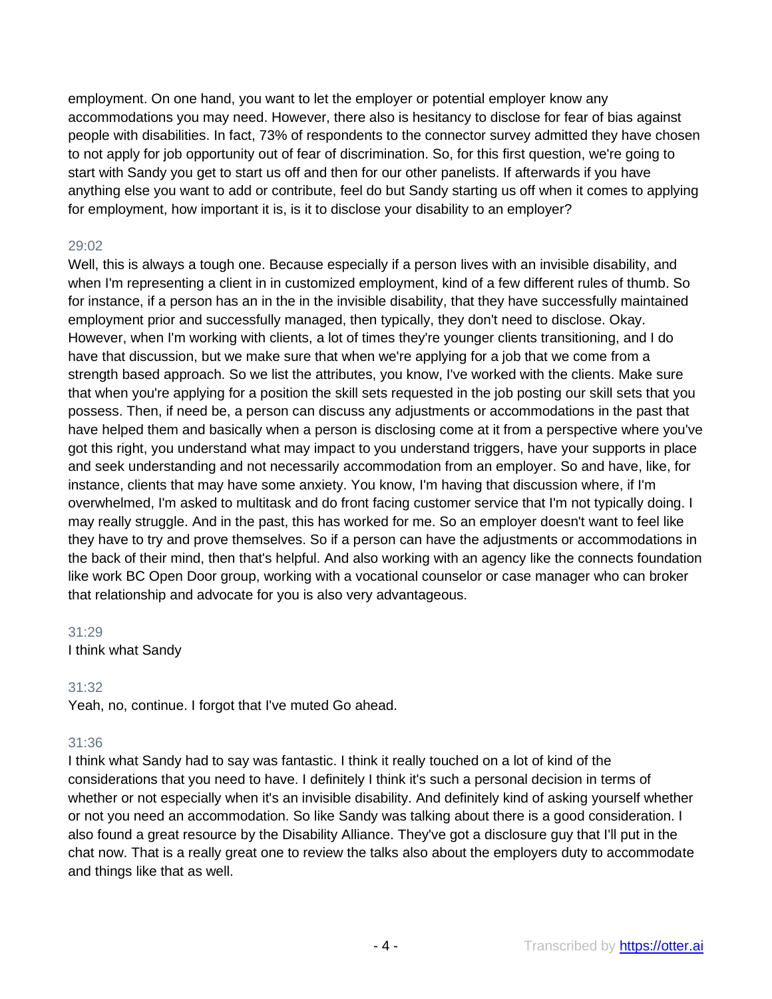employment. On one hand, you want to let the employer or potential employer know any accommodations you may need. However, there also is hesitancy to disclose for fear of bias against people with disabilities. In fact, 73% of respondents to the connector survey admitted they have chosen to not apply for job opportunity out of fear of discrimination. So, for this first question, we're going to start with Sandy you get to start us off and then for our other panelists. If afterwards if you have anything else you want to add or contribute, feel do but Sandy starting us off when it comes to applying for employment, how important it is, is it to disclose your disability to an employer?

# 29:02

Well, this is always a tough one. Because especially if a person lives with an invisible disability, and when I'm representing a client in in customized employment, kind of a few different rules of thumb. So for instance, if a person has an in the in the invisible disability, that they have successfully maintained employment prior and successfully managed, then typically, they don't need to disclose. Okay. However, when I'm working with clients, a lot of times they're younger clients transitioning, and I do have that discussion, but we make sure that when we're applying for a job that we come from a strength based approach. So we list the attributes, you know, I've worked with the clients. Make sure that when you're applying for a position the skill sets requested in the job posting our skill sets that you possess. Then, if need be, a person can discuss any adjustments or accommodations in the past that have helped them and basically when a person is disclosing come at it from a perspective where you've got this right, you understand what may impact to you understand triggers, have your supports in place and seek understanding and not necessarily accommodation from an employer. So and have, like, for instance, clients that may have some anxiety. You know, I'm having that discussion where, if I'm overwhelmed, I'm asked to multitask and do front facing customer service that I'm not typically doing. I may really struggle. And in the past, this has worked for me. So an employer doesn't want to feel like they have to try and prove themselves. So if a person can have the adjustments or accommodations in the back of their mind, then that's helpful. And also working with an agency like the connects foundation like work BC Open Door group, working with a vocational counselor or case manager who can broker that relationship and advocate for you is also very advantageous.

## 31:29

I think what Sandy

# 31:32

Yeah, no, continue. I forgot that I've muted Go ahead.

# 31:36

I think what Sandy had to say was fantastic. I think it really touched on a lot of kind of the considerations that you need to have. I definitely I think it's such a personal decision in terms of whether or not especially when it's an invisible disability. And definitely kind of asking yourself whether or not you need an accommodation. So like Sandy was talking about there is a good consideration. I also found a great resource by the Disability Alliance. They've got a disclosure guy that I'll put in the chat now. That is a really great one to review the talks also about the employers duty to accommodate and things like that as well.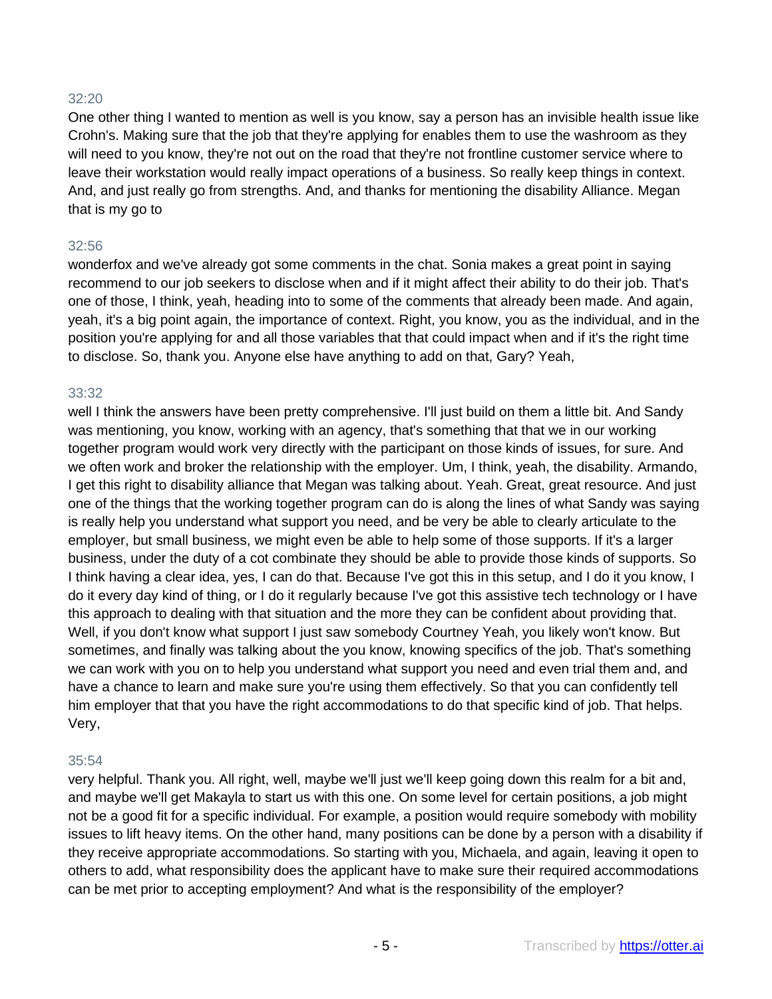## 32:20

One other thing I wanted to mention as well is you know, say a person has an invisible health issue like Crohn's. Making sure that the job that they're applying for enables them to use the washroom as they will need to you know, they're not out on the road that they're not frontline customer service where to leave their workstation would really impact operations of a business. So really keep things in context. And, and just really go from strengths. And, and thanks for mentioning the disability Alliance. Megan that is my go to

#### 32:56

wonderfox and we've already got some comments in the chat. Sonia makes a great point in saying recommend to our job seekers to disclose when and if it might affect their ability to do their job. That's one of those, I think, yeah, heading into to some of the comments that already been made. And again, yeah, it's a big point again, the importance of context. Right, you know, you as the individual, and in the position you're applying for and all those variables that that could impact when and if it's the right time to disclose. So, thank you. Anyone else have anything to add on that, Gary? Yeah,

#### 33:32

well I think the answers have been pretty comprehensive. I'll just build on them a little bit. And Sandy was mentioning, you know, working with an agency, that's something that that we in our working together program would work very directly with the participant on those kinds of issues, for sure. And we often work and broker the relationship with the employer. Um, I think, yeah, the disability. Armando, I get this right to disability alliance that Megan was talking about. Yeah. Great, great resource. And just one of the things that the working together program can do is along the lines of what Sandy was saying is really help you understand what support you need, and be very be able to clearly articulate to the employer, but small business, we might even be able to help some of those supports. If it's a larger business, under the duty of a cot combinate they should be able to provide those kinds of supports. So I think having a clear idea, yes, I can do that. Because I've got this in this setup, and I do it you know, I do it every day kind of thing, or I do it regularly because I've got this assistive tech technology or I have this approach to dealing with that situation and the more they can be confident about providing that. Well, if you don't know what support I just saw somebody Courtney Yeah, you likely won't know. But sometimes, and finally was talking about the you know, knowing specifics of the job. That's something we can work with you on to help you understand what support you need and even trial them and, and have a chance to learn and make sure you're using them effectively. So that you can confidently tell him employer that that you have the right accommodations to do that specific kind of job. That helps. Very,

## 35:54

very helpful. Thank you. All right, well, maybe we'll just we'll keep going down this realm for a bit and, and maybe we'll get Makayla to start us with this one. On some level for certain positions, a job might not be a good fit for a specific individual. For example, a position would require somebody with mobility issues to lift heavy items. On the other hand, many positions can be done by a person with a disability if they receive appropriate accommodations. So starting with you, Michaela, and again, leaving it open to others to add, what responsibility does the applicant have to make sure their required accommodations can be met prior to accepting employment? And what is the responsibility of the employer?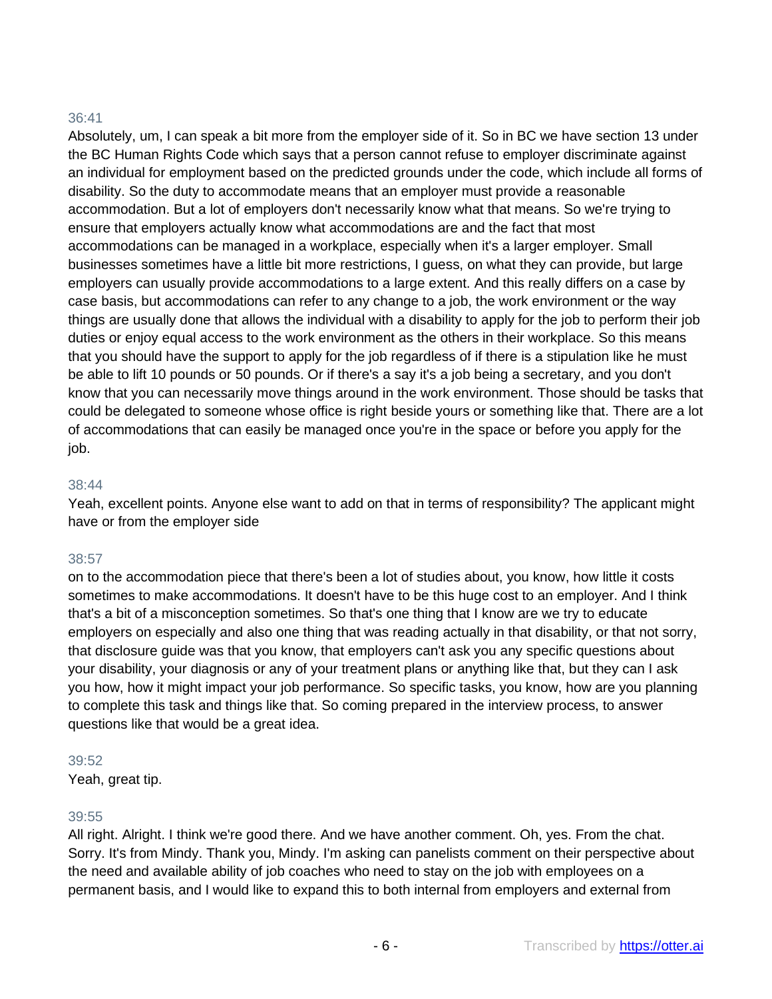# 36:41

Absolutely, um, I can speak a bit more from the employer side of it. So in BC we have section 13 under the BC Human Rights Code which says that a person cannot refuse to employer discriminate against an individual for employment based on the predicted grounds under the code, which include all forms of disability. So the duty to accommodate means that an employer must provide a reasonable accommodation. But a lot of employers don't necessarily know what that means. So we're trying to ensure that employers actually know what accommodations are and the fact that most accommodations can be managed in a workplace, especially when it's a larger employer. Small businesses sometimes have a little bit more restrictions, I guess, on what they can provide, but large employers can usually provide accommodations to a large extent. And this really differs on a case by case basis, but accommodations can refer to any change to a job, the work environment or the way things are usually done that allows the individual with a disability to apply for the job to perform their job duties or enjoy equal access to the work environment as the others in their workplace. So this means that you should have the support to apply for the job regardless of if there is a stipulation like he must be able to lift 10 pounds or 50 pounds. Or if there's a say it's a job being a secretary, and you don't know that you can necessarily move things around in the work environment. Those should be tasks that could be delegated to someone whose office is right beside yours or something like that. There are a lot of accommodations that can easily be managed once you're in the space or before you apply for the job.

## 38:44

Yeah, excellent points. Anyone else want to add on that in terms of responsibility? The applicant might have or from the employer side

# 38:57

on to the accommodation piece that there's been a lot of studies about, you know, how little it costs sometimes to make accommodations. It doesn't have to be this huge cost to an employer. And I think that's a bit of a misconception sometimes. So that's one thing that I know are we try to educate employers on especially and also one thing that was reading actually in that disability, or that not sorry, that disclosure guide was that you know, that employers can't ask you any specific questions about your disability, your diagnosis or any of your treatment plans or anything like that, but they can I ask you how, how it might impact your job performance. So specific tasks, you know, how are you planning to complete this task and things like that. So coming prepared in the interview process, to answer questions like that would be a great idea.

## 39:52

Yeah, great tip.

# 39:55

All right. Alright. I think we're good there. And we have another comment. Oh, yes. From the chat. Sorry. It's from Mindy. Thank you, Mindy. I'm asking can panelists comment on their perspective about the need and available ability of job coaches who need to stay on the job with employees on a permanent basis, and I would like to expand this to both internal from employers and external from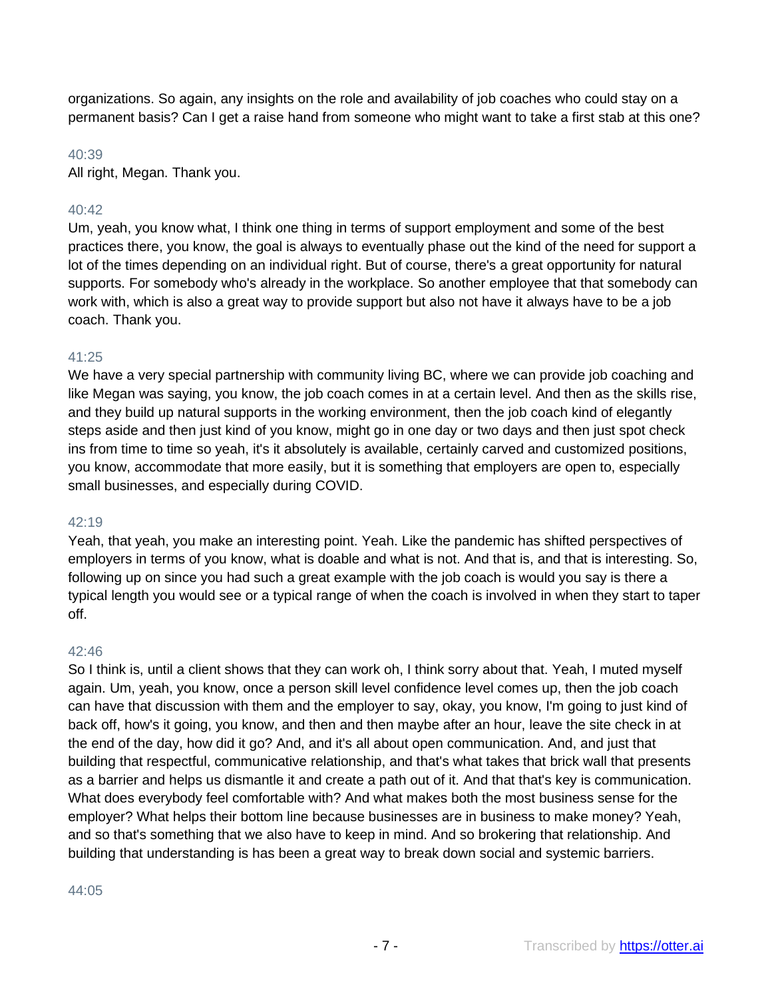organizations. So again, any insights on the role and availability of job coaches who could stay on a permanent basis? Can I get a raise hand from someone who might want to take a first stab at this one?

# 40:39

All right, Megan. Thank you.

# 40:42

Um, yeah, you know what, I think one thing in terms of support employment and some of the best practices there, you know, the goal is always to eventually phase out the kind of the need for support a lot of the times depending on an individual right. But of course, there's a great opportunity for natural supports. For somebody who's already in the workplace. So another employee that that somebody can work with, which is also a great way to provide support but also not have it always have to be a job coach. Thank you.

# 41:25

We have a very special partnership with community living BC, where we can provide job coaching and like Megan was saying, you know, the job coach comes in at a certain level. And then as the skills rise, and they build up natural supports in the working environment, then the job coach kind of elegantly steps aside and then just kind of you know, might go in one day or two days and then just spot check ins from time to time so yeah, it's it absolutely is available, certainly carved and customized positions, you know, accommodate that more easily, but it is something that employers are open to, especially small businesses, and especially during COVID.

# 42:19

Yeah, that yeah, you make an interesting point. Yeah. Like the pandemic has shifted perspectives of employers in terms of you know, what is doable and what is not. And that is, and that is interesting. So, following up on since you had such a great example with the job coach is would you say is there a typical length you would see or a typical range of when the coach is involved in when they start to taper off.

# 42:46

So I think is, until a client shows that they can work oh, I think sorry about that. Yeah, I muted myself again. Um, yeah, you know, once a person skill level confidence level comes up, then the job coach can have that discussion with them and the employer to say, okay, you know, I'm going to just kind of back off, how's it going, you know, and then and then maybe after an hour, leave the site check in at the end of the day, how did it go? And, and it's all about open communication. And, and just that building that respectful, communicative relationship, and that's what takes that brick wall that presents as a barrier and helps us dismantle it and create a path out of it. And that that's key is communication. What does everybody feel comfortable with? And what makes both the most business sense for the employer? What helps their bottom line because businesses are in business to make money? Yeah, and so that's something that we also have to keep in mind. And so brokering that relationship. And building that understanding is has been a great way to break down social and systemic barriers.

## 44:05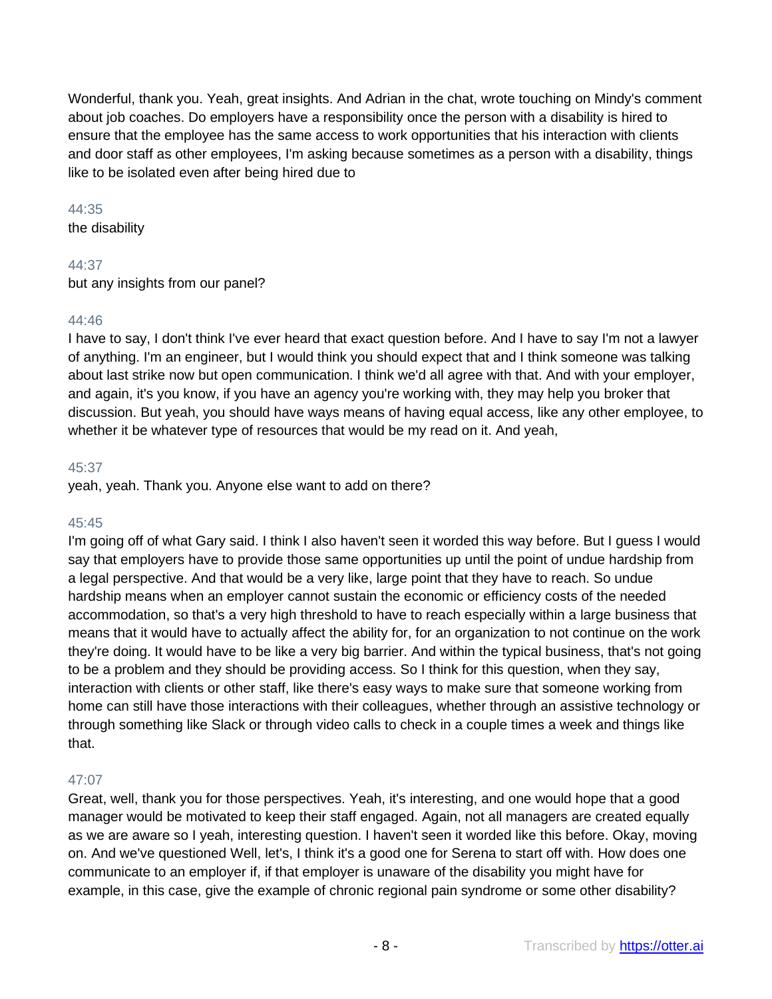Wonderful, thank you. Yeah, great insights. And Adrian in the chat, wrote touching on Mindy's comment about job coaches. Do employers have a responsibility once the person with a disability is hired to ensure that the employee has the same access to work opportunities that his interaction with clients and door staff as other employees, I'm asking because sometimes as a person with a disability, things like to be isolated even after being hired due to

#### 44:35

the disability

# 44:37

but any insights from our panel?

# 44:46

I have to say, I don't think I've ever heard that exact question before. And I have to say I'm not a lawyer of anything. I'm an engineer, but I would think you should expect that and I think someone was talking about last strike now but open communication. I think we'd all agree with that. And with your employer, and again, it's you know, if you have an agency you're working with, they may help you broker that discussion. But yeah, you should have ways means of having equal access, like any other employee, to whether it be whatever type of resources that would be my read on it. And yeah,

## 45:37

yeah, yeah. Thank you. Anyone else want to add on there?

## 45:45

I'm going off of what Gary said. I think I also haven't seen it worded this way before. But I guess I would say that employers have to provide those same opportunities up until the point of undue hardship from a legal perspective. And that would be a very like, large point that they have to reach. So undue hardship means when an employer cannot sustain the economic or efficiency costs of the needed accommodation, so that's a very high threshold to have to reach especially within a large business that means that it would have to actually affect the ability for, for an organization to not continue on the work they're doing. It would have to be like a very big barrier. And within the typical business, that's not going to be a problem and they should be providing access. So I think for this question, when they say, interaction with clients or other staff, like there's easy ways to make sure that someone working from home can still have those interactions with their colleagues, whether through an assistive technology or through something like Slack or through video calls to check in a couple times a week and things like that.

# 47:07

Great, well, thank you for those perspectives. Yeah, it's interesting, and one would hope that a good manager would be motivated to keep their staff engaged. Again, not all managers are created equally as we are aware so I yeah, interesting question. I haven't seen it worded like this before. Okay, moving on. And we've questioned Well, let's, I think it's a good one for Serena to start off with. How does one communicate to an employer if, if that employer is unaware of the disability you might have for example, in this case, give the example of chronic regional pain syndrome or some other disability?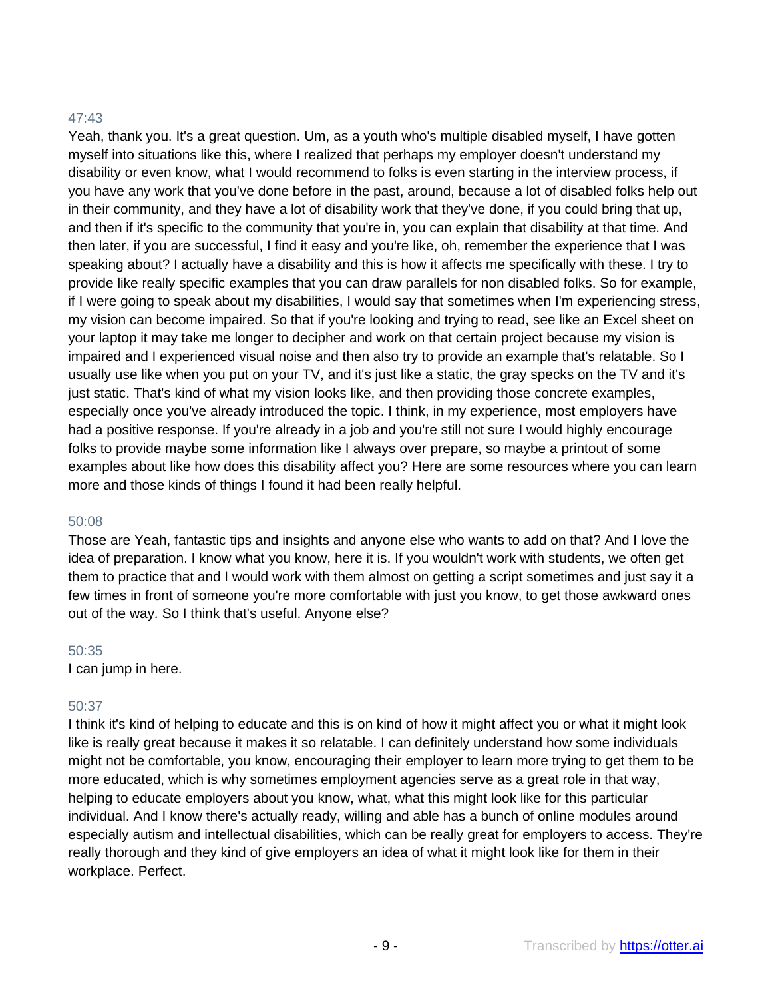# 47:43

Yeah, thank you. It's a great question. Um, as a youth who's multiple disabled myself, I have gotten myself into situations like this, where I realized that perhaps my employer doesn't understand my disability or even know, what I would recommend to folks is even starting in the interview process, if you have any work that you've done before in the past, around, because a lot of disabled folks help out in their community, and they have a lot of disability work that they've done, if you could bring that up, and then if it's specific to the community that you're in, you can explain that disability at that time. And then later, if you are successful, I find it easy and you're like, oh, remember the experience that I was speaking about? I actually have a disability and this is how it affects me specifically with these. I try to provide like really specific examples that you can draw parallels for non disabled folks. So for example, if I were going to speak about my disabilities, I would say that sometimes when I'm experiencing stress, my vision can become impaired. So that if you're looking and trying to read, see like an Excel sheet on your laptop it may take me longer to decipher and work on that certain project because my vision is impaired and I experienced visual noise and then also try to provide an example that's relatable. So I usually use like when you put on your TV, and it's just like a static, the gray specks on the TV and it's just static. That's kind of what my vision looks like, and then providing those concrete examples, especially once you've already introduced the topic. I think, in my experience, most employers have had a positive response. If you're already in a job and you're still not sure I would highly encourage folks to provide maybe some information like I always over prepare, so maybe a printout of some examples about like how does this disability affect you? Here are some resources where you can learn more and those kinds of things I found it had been really helpful.

## 50:08

Those are Yeah, fantastic tips and insights and anyone else who wants to add on that? And I love the idea of preparation. I know what you know, here it is. If you wouldn't work with students, we often get them to practice that and I would work with them almost on getting a script sometimes and just say it a few times in front of someone you're more comfortable with just you know, to get those awkward ones out of the way. So I think that's useful. Anyone else?

#### 50:35

I can jump in here.

## 50:37

I think it's kind of helping to educate and this is on kind of how it might affect you or what it might look like is really great because it makes it so relatable. I can definitely understand how some individuals might not be comfortable, you know, encouraging their employer to learn more trying to get them to be more educated, which is why sometimes employment agencies serve as a great role in that way, helping to educate employers about you know, what, what this might look like for this particular individual. And I know there's actually ready, willing and able has a bunch of online modules around especially autism and intellectual disabilities, which can be really great for employers to access. They're really thorough and they kind of give employers an idea of what it might look like for them in their workplace. Perfect.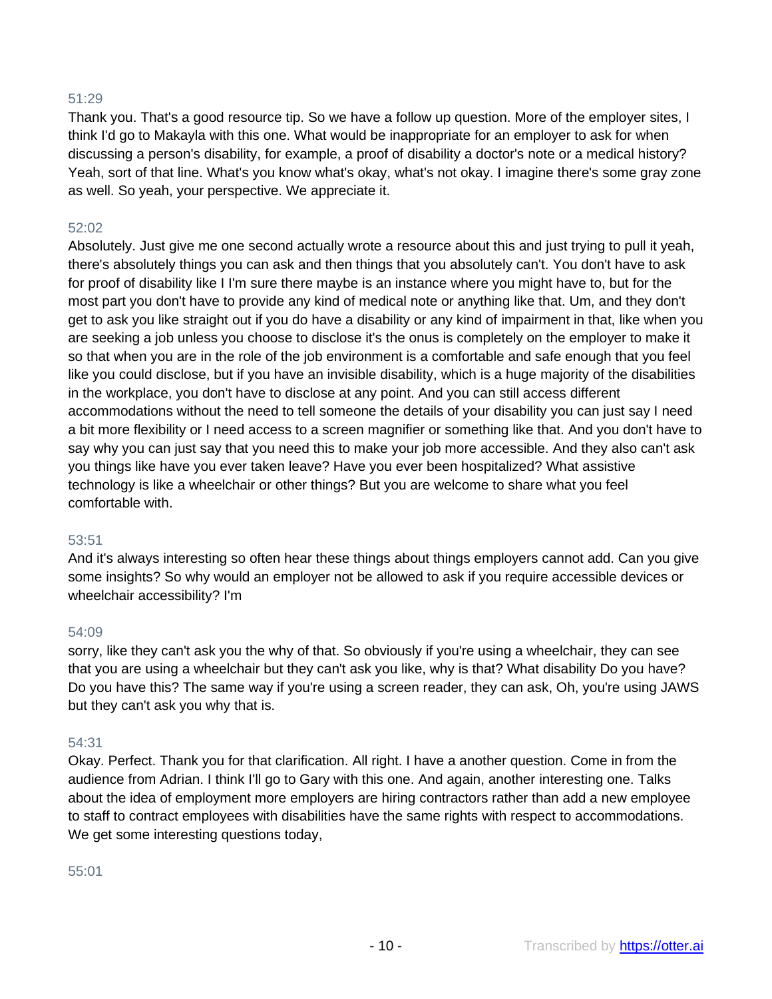# 51:29

Thank you. That's a good resource tip. So we have a follow up question. More of the employer sites, I think I'd go to Makayla with this one. What would be inappropriate for an employer to ask for when discussing a person's disability, for example, a proof of disability a doctor's note or a medical history? Yeah, sort of that line. What's you know what's okay, what's not okay. I imagine there's some gray zone as well. So yeah, your perspective. We appreciate it.

# 52:02

Absolutely. Just give me one second actually wrote a resource about this and just trying to pull it yeah, there's absolutely things you can ask and then things that you absolutely can't. You don't have to ask for proof of disability like I I'm sure there maybe is an instance where you might have to, but for the most part you don't have to provide any kind of medical note or anything like that. Um, and they don't get to ask you like straight out if you do have a disability or any kind of impairment in that, like when you are seeking a job unless you choose to disclose it's the onus is completely on the employer to make it so that when you are in the role of the job environment is a comfortable and safe enough that you feel like you could disclose, but if you have an invisible disability, which is a huge majority of the disabilities in the workplace, you don't have to disclose at any point. And you can still access different accommodations without the need to tell someone the details of your disability you can just say I need a bit more flexibility or I need access to a screen magnifier or something like that. And you don't have to say why you can just say that you need this to make your job more accessible. And they also can't ask you things like have you ever taken leave? Have you ever been hospitalized? What assistive technology is like a wheelchair or other things? But you are welcome to share what you feel comfortable with.

## 53:51

And it's always interesting so often hear these things about things employers cannot add. Can you give some insights? So why would an employer not be allowed to ask if you require accessible devices or wheelchair accessibility? I'm

## 54:09

sorry, like they can't ask you the why of that. So obviously if you're using a wheelchair, they can see that you are using a wheelchair but they can't ask you like, why is that? What disability Do you have? Do you have this? The same way if you're using a screen reader, they can ask, Oh, you're using JAWS but they can't ask you why that is.

## 54:31

Okay. Perfect. Thank you for that clarification. All right. I have a another question. Come in from the audience from Adrian. I think I'll go to Gary with this one. And again, another interesting one. Talks about the idea of employment more employers are hiring contractors rather than add a new employee to staff to contract employees with disabilities have the same rights with respect to accommodations. We get some interesting questions today,

#### 55:01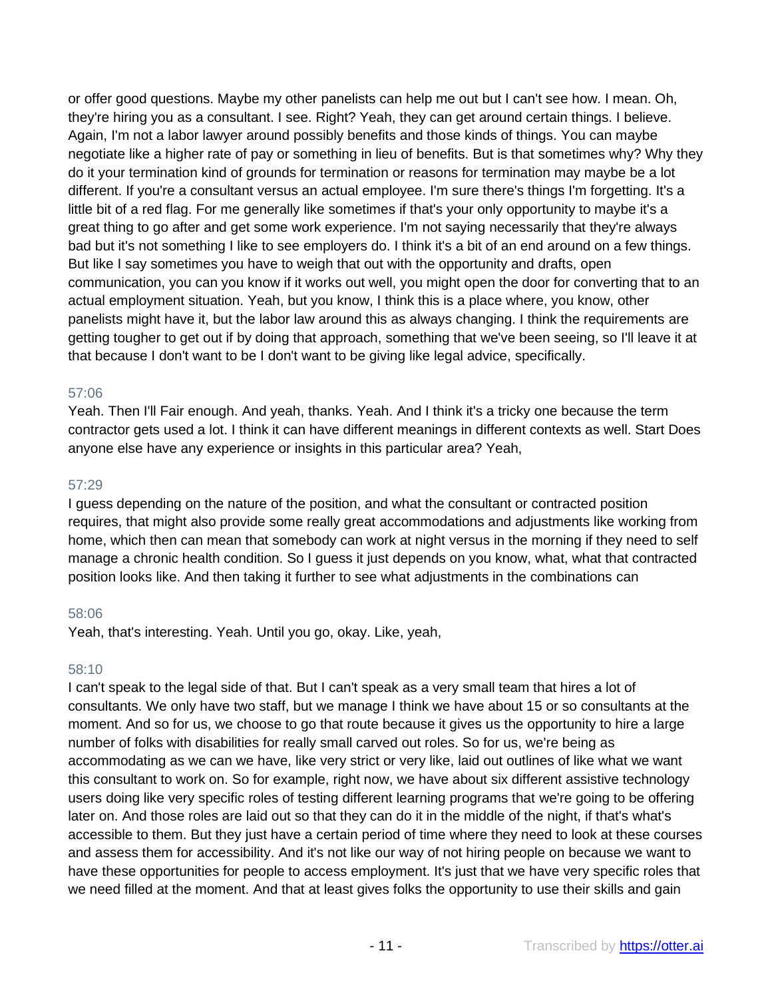or offer good questions. Maybe my other panelists can help me out but I can't see how. I mean. Oh, they're hiring you as a consultant. I see. Right? Yeah, they can get around certain things. I believe. Again, I'm not a labor lawyer around possibly benefits and those kinds of things. You can maybe negotiate like a higher rate of pay or something in lieu of benefits. But is that sometimes why? Why they do it your termination kind of grounds for termination or reasons for termination may maybe be a lot different. If you're a consultant versus an actual employee. I'm sure there's things I'm forgetting. It's a little bit of a red flag. For me generally like sometimes if that's your only opportunity to maybe it's a great thing to go after and get some work experience. I'm not saying necessarily that they're always bad but it's not something I like to see employers do. I think it's a bit of an end around on a few things. But like I say sometimes you have to weigh that out with the opportunity and drafts, open communication, you can you know if it works out well, you might open the door for converting that to an actual employment situation. Yeah, but you know, I think this is a place where, you know, other panelists might have it, but the labor law around this as always changing. I think the requirements are getting tougher to get out if by doing that approach, something that we've been seeing, so I'll leave it at that because I don't want to be I don't want to be giving like legal advice, specifically.

# 57:06

Yeah. Then I'll Fair enough. And yeah, thanks. Yeah. And I think it's a tricky one because the term contractor gets used a lot. I think it can have different meanings in different contexts as well. Start Does anyone else have any experience or insights in this particular area? Yeah,

## 57:29

I guess depending on the nature of the position, and what the consultant or contracted position requires, that might also provide some really great accommodations and adjustments like working from home, which then can mean that somebody can work at night versus in the morning if they need to self manage a chronic health condition. So I guess it just depends on you know, what, what that contracted position looks like. And then taking it further to see what adjustments in the combinations can

# 58:06

Yeah, that's interesting. Yeah. Until you go, okay. Like, yeah,

# 58:10

I can't speak to the legal side of that. But I can't speak as a very small team that hires a lot of consultants. We only have two staff, but we manage I think we have about 15 or so consultants at the moment. And so for us, we choose to go that route because it gives us the opportunity to hire a large number of folks with disabilities for really small carved out roles. So for us, we're being as accommodating as we can we have, like very strict or very like, laid out outlines of like what we want this consultant to work on. So for example, right now, we have about six different assistive technology users doing like very specific roles of testing different learning programs that we're going to be offering later on. And those roles are laid out so that they can do it in the middle of the night, if that's what's accessible to them. But they just have a certain period of time where they need to look at these courses and assess them for accessibility. And it's not like our way of not hiring people on because we want to have these opportunities for people to access employment. It's just that we have very specific roles that we need filled at the moment. And that at least gives folks the opportunity to use their skills and gain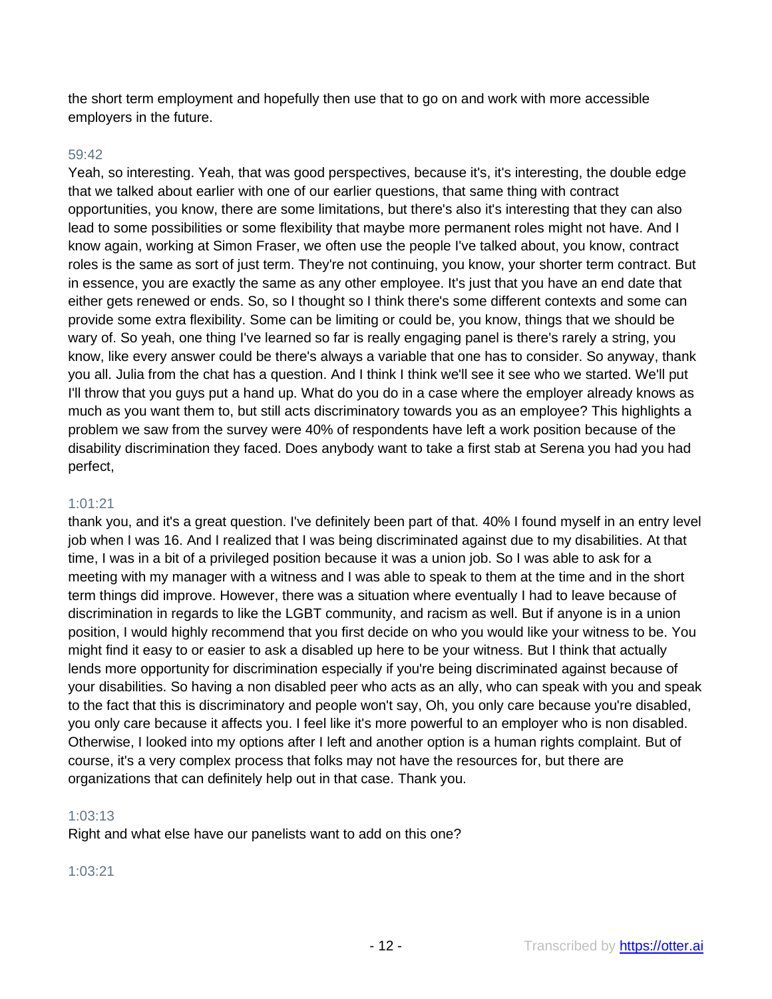the short term employment and hopefully then use that to go on and work with more accessible employers in the future.

#### 59:42

Yeah, so interesting. Yeah, that was good perspectives, because it's, it's interesting, the double edge that we talked about earlier with one of our earlier questions, that same thing with contract opportunities, you know, there are some limitations, but there's also it's interesting that they can also lead to some possibilities or some flexibility that maybe more permanent roles might not have. And I know again, working at Simon Fraser, we often use the people I've talked about, you know, contract roles is the same as sort of just term. They're not continuing, you know, your shorter term contract. But in essence, you are exactly the same as any other employee. It's just that you have an end date that either gets renewed or ends. So, so I thought so I think there's some different contexts and some can provide some extra flexibility. Some can be limiting or could be, you know, things that we should be wary of. So yeah, one thing I've learned so far is really engaging panel is there's rarely a string, you know, like every answer could be there's always a variable that one has to consider. So anyway, thank you all. Julia from the chat has a question. And I think I think we'll see it see who we started. We'll put I'll throw that you guys put a hand up. What do you do in a case where the employer already knows as much as you want them to, but still acts discriminatory towards you as an employee? This highlights a problem we saw from the survey were 40% of respondents have left a work position because of the disability discrimination they faced. Does anybody want to take a first stab at Serena you had you had perfect,

## 1:01:21

thank you, and it's a great question. I've definitely been part of that. 40% I found myself in an entry level job when I was 16. And I realized that I was being discriminated against due to my disabilities. At that time, I was in a bit of a privileged position because it was a union job. So I was able to ask for a meeting with my manager with a witness and I was able to speak to them at the time and in the short term things did improve. However, there was a situation where eventually I had to leave because of discrimination in regards to like the LGBT community, and racism as well. But if anyone is in a union position, I would highly recommend that you first decide on who you would like your witness to be. You might find it easy to or easier to ask a disabled up here to be your witness. But I think that actually lends more opportunity for discrimination especially if you're being discriminated against because of your disabilities. So having a non disabled peer who acts as an ally, who can speak with you and speak to the fact that this is discriminatory and people won't say, Oh, you only care because you're disabled, you only care because it affects you. I feel like it's more powerful to an employer who is non disabled. Otherwise, I looked into my options after I left and another option is a human rights complaint. But of course, it's a very complex process that folks may not have the resources for, but there are organizations that can definitely help out in that case. Thank you.

#### 1:03:13

Right and what else have our panelists want to add on this one?

#### 1:03:21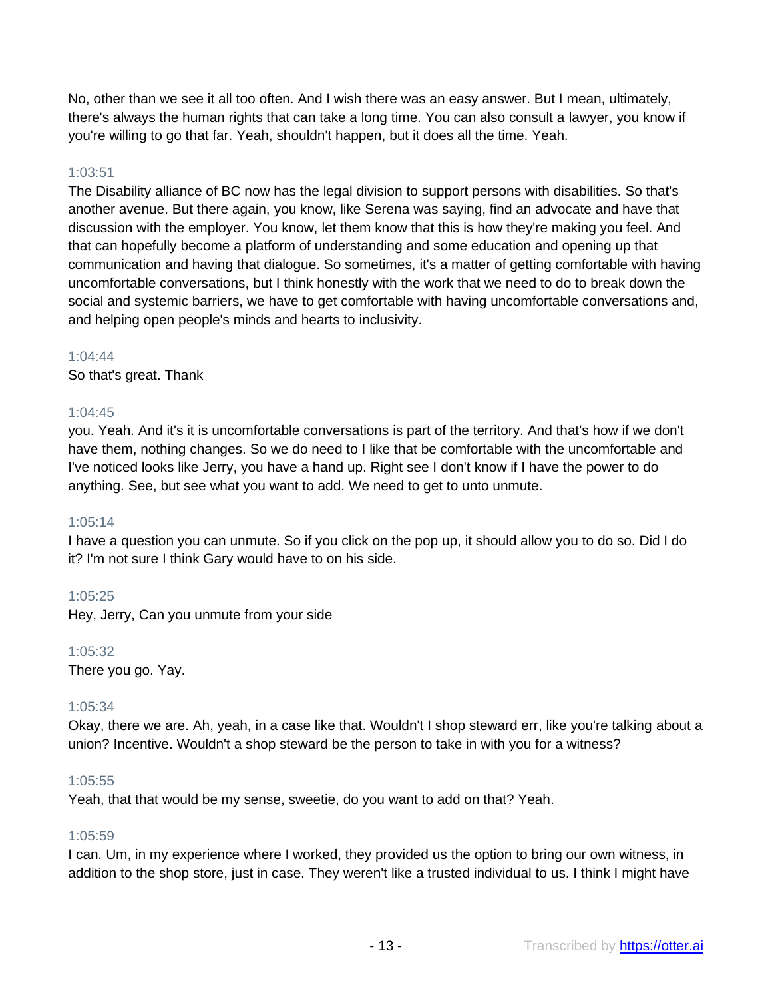No, other than we see it all too often. And I wish there was an easy answer. But I mean, ultimately, there's always the human rights that can take a long time. You can also consult a lawyer, you know if you're willing to go that far. Yeah, shouldn't happen, but it does all the time. Yeah.

# 1:03:51

The Disability alliance of BC now has the legal division to support persons with disabilities. So that's another avenue. But there again, you know, like Serena was saying, find an advocate and have that discussion with the employer. You know, let them know that this is how they're making you feel. And that can hopefully become a platform of understanding and some education and opening up that communication and having that dialogue. So sometimes, it's a matter of getting comfortable with having uncomfortable conversations, but I think honestly with the work that we need to do to break down the social and systemic barriers, we have to get comfortable with having uncomfortable conversations and, and helping open people's minds and hearts to inclusivity.

# 1:04:44

So that's great. Thank

# 1:04:45

you. Yeah. And it's it is uncomfortable conversations is part of the territory. And that's how if we don't have them, nothing changes. So we do need to I like that be comfortable with the uncomfortable and I've noticed looks like Jerry, you have a hand up. Right see I don't know if I have the power to do anything. See, but see what you want to add. We need to get to unto unmute.

## 1:05:14

I have a question you can unmute. So if you click on the pop up, it should allow you to do so. Did I do it? I'm not sure I think Gary would have to on his side.

# 1:05:25

Hey, Jerry, Can you unmute from your side

## 1:05:32

There you go. Yay.

## 1:05:34

Okay, there we are. Ah, yeah, in a case like that. Wouldn't I shop steward err, like you're talking about a union? Incentive. Wouldn't a shop steward be the person to take in with you for a witness?

## 1:05:55

Yeah, that that would be my sense, sweetie, do you want to add on that? Yeah.

## 1:05:59

I can. Um, in my experience where I worked, they provided us the option to bring our own witness, in addition to the shop store, just in case. They weren't like a trusted individual to us. I think I might have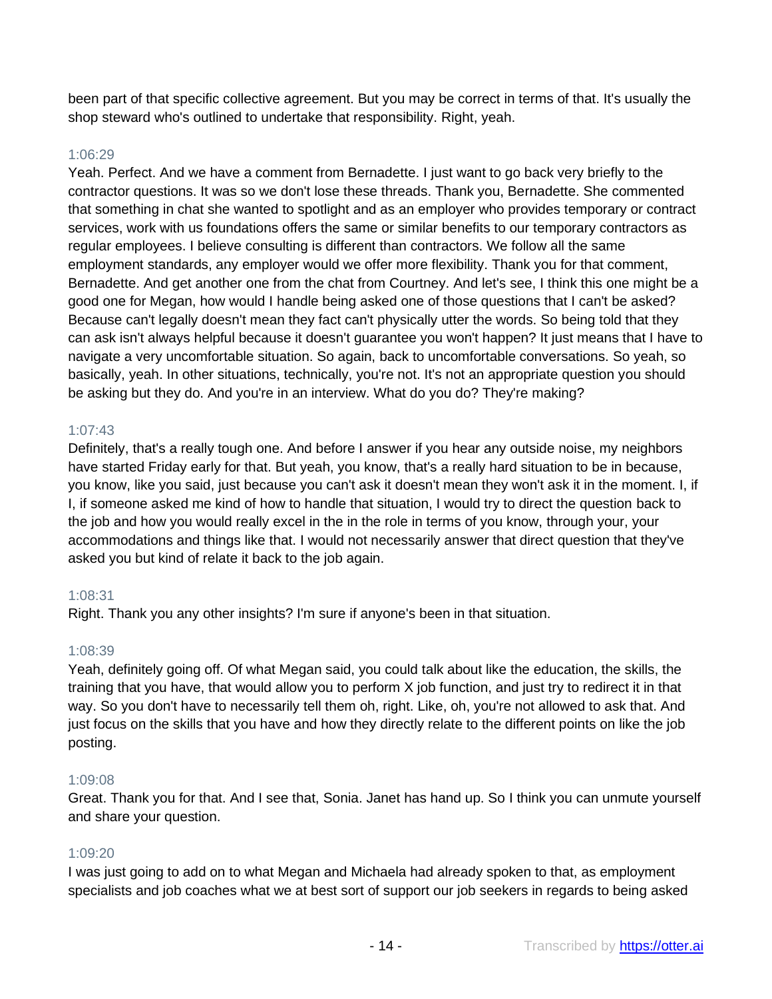been part of that specific collective agreement. But you may be correct in terms of that. It's usually the shop steward who's outlined to undertake that responsibility. Right, yeah.

## 1:06:29

Yeah. Perfect. And we have a comment from Bernadette. I just want to go back very briefly to the contractor questions. It was so we don't lose these threads. Thank you, Bernadette. She commented that something in chat she wanted to spotlight and as an employer who provides temporary or contract services, work with us foundations offers the same or similar benefits to our temporary contractors as regular employees. I believe consulting is different than contractors. We follow all the same employment standards, any employer would we offer more flexibility. Thank you for that comment, Bernadette. And get another one from the chat from Courtney. And let's see, I think this one might be a good one for Megan, how would I handle being asked one of those questions that I can't be asked? Because can't legally doesn't mean they fact can't physically utter the words. So being told that they can ask isn't always helpful because it doesn't guarantee you won't happen? It just means that I have to navigate a very uncomfortable situation. So again, back to uncomfortable conversations. So yeah, so basically, yeah. In other situations, technically, you're not. It's not an appropriate question you should be asking but they do. And you're in an interview. What do you do? They're making?

# 1:07:43

Definitely, that's a really tough one. And before I answer if you hear any outside noise, my neighbors have started Friday early for that. But yeah, you know, that's a really hard situation to be in because, you know, like you said, just because you can't ask it doesn't mean they won't ask it in the moment. I, if I, if someone asked me kind of how to handle that situation, I would try to direct the question back to the job and how you would really excel in the in the role in terms of you know, through your, your accommodations and things like that. I would not necessarily answer that direct question that they've asked you but kind of relate it back to the job again.

# 1:08:31

Right. Thank you any other insights? I'm sure if anyone's been in that situation.

## 1:08:39

Yeah, definitely going off. Of what Megan said, you could talk about like the education, the skills, the training that you have, that would allow you to perform X job function, and just try to redirect it in that way. So you don't have to necessarily tell them oh, right. Like, oh, you're not allowed to ask that. And just focus on the skills that you have and how they directly relate to the different points on like the job posting.

## 1:09:08

Great. Thank you for that. And I see that, Sonia. Janet has hand up. So I think you can unmute yourself and share your question.

## 1:09:20

I was just going to add on to what Megan and Michaela had already spoken to that, as employment specialists and job coaches what we at best sort of support our job seekers in regards to being asked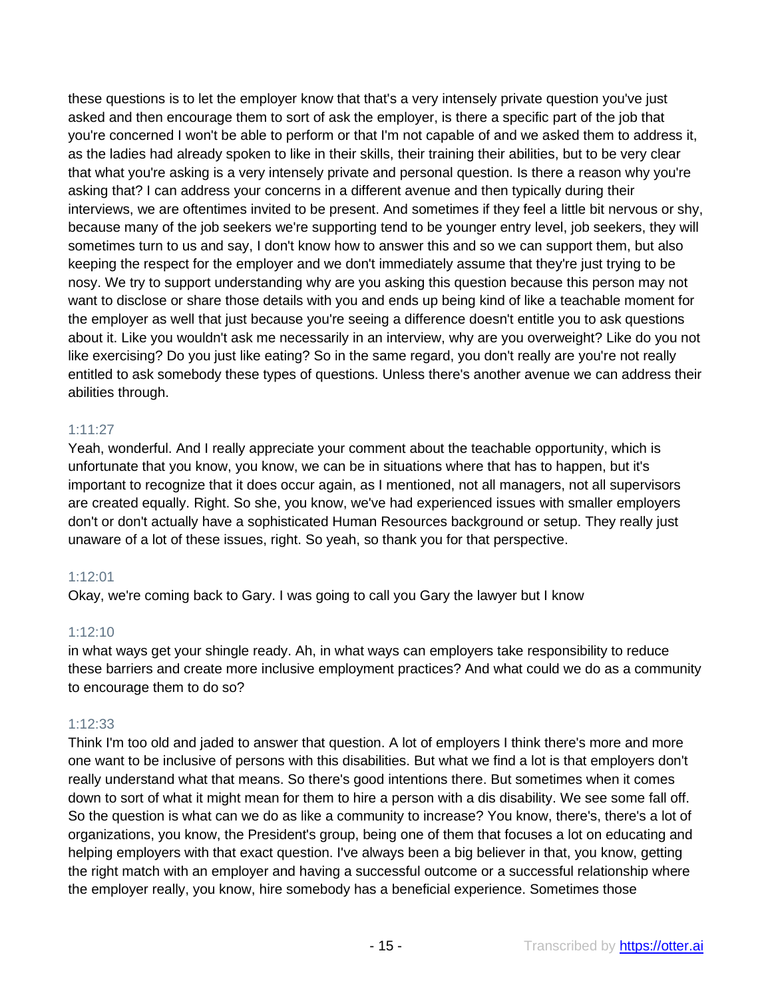these questions is to let the employer know that that's a very intensely private question you've just asked and then encourage them to sort of ask the employer, is there a specific part of the job that you're concerned I won't be able to perform or that I'm not capable of and we asked them to address it, as the ladies had already spoken to like in their skills, their training their abilities, but to be very clear that what you're asking is a very intensely private and personal question. Is there a reason why you're asking that? I can address your concerns in a different avenue and then typically during their interviews, we are oftentimes invited to be present. And sometimes if they feel a little bit nervous or shy, because many of the job seekers we're supporting tend to be younger entry level, job seekers, they will sometimes turn to us and say, I don't know how to answer this and so we can support them, but also keeping the respect for the employer and we don't immediately assume that they're just trying to be nosy. We try to support understanding why are you asking this question because this person may not want to disclose or share those details with you and ends up being kind of like a teachable moment for the employer as well that just because you're seeing a difference doesn't entitle you to ask questions about it. Like you wouldn't ask me necessarily in an interview, why are you overweight? Like do you not like exercising? Do you just like eating? So in the same regard, you don't really are you're not really entitled to ask somebody these types of questions. Unless there's another avenue we can address their abilities through.

# 1:11:27

Yeah, wonderful. And I really appreciate your comment about the teachable opportunity, which is unfortunate that you know, you know, we can be in situations where that has to happen, but it's important to recognize that it does occur again, as I mentioned, not all managers, not all supervisors are created equally. Right. So she, you know, we've had experienced issues with smaller employers don't or don't actually have a sophisticated Human Resources background or setup. They really just unaware of a lot of these issues, right. So yeah, so thank you for that perspective.

## 1:12:01

Okay, we're coming back to Gary. I was going to call you Gary the lawyer but I know

## 1:12:10

in what ways get your shingle ready. Ah, in what ways can employers take responsibility to reduce these barriers and create more inclusive employment practices? And what could we do as a community to encourage them to do so?

# 1:12:33

Think I'm too old and jaded to answer that question. A lot of employers I think there's more and more one want to be inclusive of persons with this disabilities. But what we find a lot is that employers don't really understand what that means. So there's good intentions there. But sometimes when it comes down to sort of what it might mean for them to hire a person with a dis disability. We see some fall off. So the question is what can we do as like a community to increase? You know, there's, there's a lot of organizations, you know, the President's group, being one of them that focuses a lot on educating and helping employers with that exact question. I've always been a big believer in that, you know, getting the right match with an employer and having a successful outcome or a successful relationship where the employer really, you know, hire somebody has a beneficial experience. Sometimes those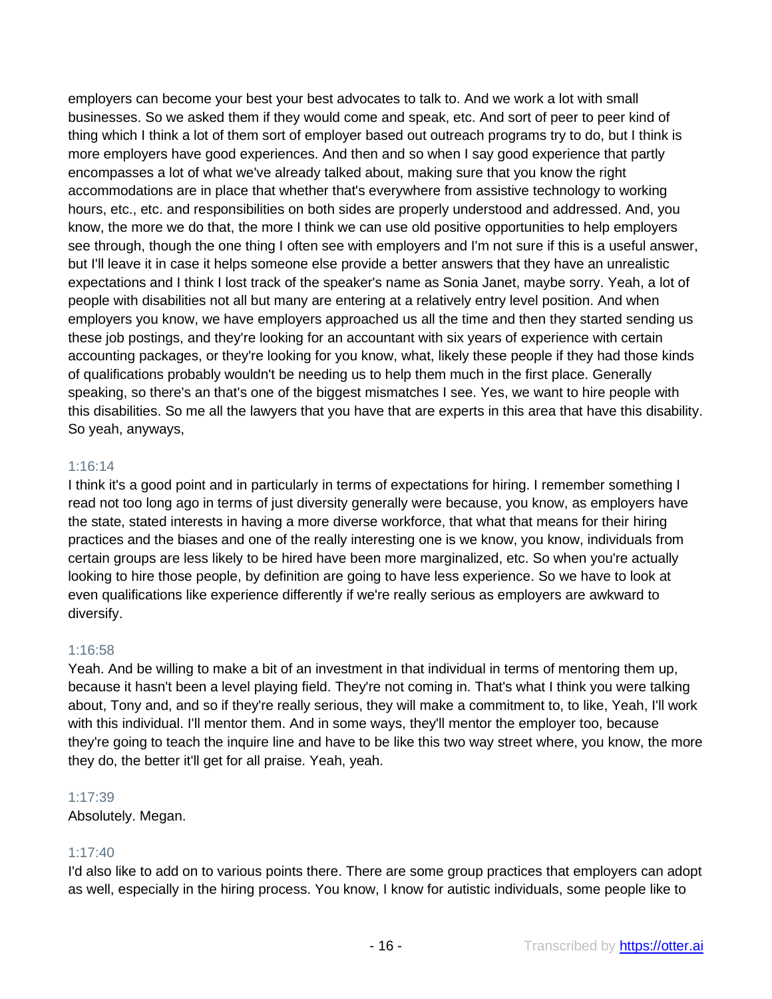employers can become your best your best advocates to talk to. And we work a lot with small businesses. So we asked them if they would come and speak, etc. And sort of peer to peer kind of thing which I think a lot of them sort of employer based out outreach programs try to do, but I think is more employers have good experiences. And then and so when I say good experience that partly encompasses a lot of what we've already talked about, making sure that you know the right accommodations are in place that whether that's everywhere from assistive technology to working hours, etc., etc. and responsibilities on both sides are properly understood and addressed. And, you know, the more we do that, the more I think we can use old positive opportunities to help employers see through, though the one thing I often see with employers and I'm not sure if this is a useful answer, but I'll leave it in case it helps someone else provide a better answers that they have an unrealistic expectations and I think I lost track of the speaker's name as Sonia Janet, maybe sorry. Yeah, a lot of people with disabilities not all but many are entering at a relatively entry level position. And when employers you know, we have employers approached us all the time and then they started sending us these job postings, and they're looking for an accountant with six years of experience with certain accounting packages, or they're looking for you know, what, likely these people if they had those kinds of qualifications probably wouldn't be needing us to help them much in the first place. Generally speaking, so there's an that's one of the biggest mismatches I see. Yes, we want to hire people with this disabilities. So me all the lawyers that you have that are experts in this area that have this disability. So yeah, anyways,

## 1:16:14

I think it's a good point and in particularly in terms of expectations for hiring. I remember something I read not too long ago in terms of just diversity generally were because, you know, as employers have the state, stated interests in having a more diverse workforce, that what that means for their hiring practices and the biases and one of the really interesting one is we know, you know, individuals from certain groups are less likely to be hired have been more marginalized, etc. So when you're actually looking to hire those people, by definition are going to have less experience. So we have to look at even qualifications like experience differently if we're really serious as employers are awkward to diversify.

## 1:16:58

Yeah. And be willing to make a bit of an investment in that individual in terms of mentoring them up, because it hasn't been a level playing field. They're not coming in. That's what I think you were talking about, Tony and, and so if they're really serious, they will make a commitment to, to like, Yeah, I'll work with this individual. I'll mentor them. And in some ways, they'll mentor the employer too, because they're going to teach the inquire line and have to be like this two way street where, you know, the more they do, the better it'll get for all praise. Yeah, yeah.

#### 1:17:39

Absolutely. Megan.

# 1:17:40

I'd also like to add on to various points there. There are some group practices that employers can adopt as well, especially in the hiring process. You know, I know for autistic individuals, some people like to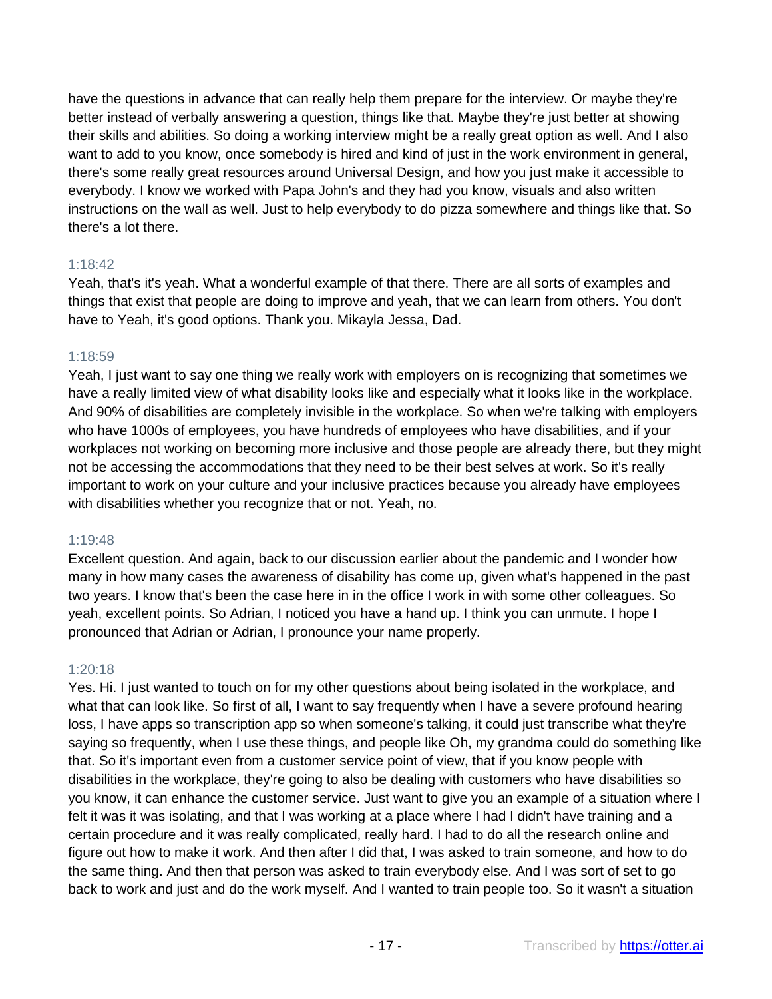have the questions in advance that can really help them prepare for the interview. Or maybe they're better instead of verbally answering a question, things like that. Maybe they're just better at showing their skills and abilities. So doing a working interview might be a really great option as well. And I also want to add to you know, once somebody is hired and kind of just in the work environment in general, there's some really great resources around Universal Design, and how you just make it accessible to everybody. I know we worked with Papa John's and they had you know, visuals and also written instructions on the wall as well. Just to help everybody to do pizza somewhere and things like that. So there's a lot there.

# 1:18:42

Yeah, that's it's yeah. What a wonderful example of that there. There are all sorts of examples and things that exist that people are doing to improve and yeah, that we can learn from others. You don't have to Yeah, it's good options. Thank you. Mikayla Jessa, Dad.

# 1:18:59

Yeah, I just want to say one thing we really work with employers on is recognizing that sometimes we have a really limited view of what disability looks like and especially what it looks like in the workplace. And 90% of disabilities are completely invisible in the workplace. So when we're talking with employers who have 1000s of employees, you have hundreds of employees who have disabilities, and if your workplaces not working on becoming more inclusive and those people are already there, but they might not be accessing the accommodations that they need to be their best selves at work. So it's really important to work on your culture and your inclusive practices because you already have employees with disabilities whether you recognize that or not. Yeah, no.

# 1:19:48

Excellent question. And again, back to our discussion earlier about the pandemic and I wonder how many in how many cases the awareness of disability has come up, given what's happened in the past two years. I know that's been the case here in in the office I work in with some other colleagues. So yeah, excellent points. So Adrian, I noticed you have a hand up. I think you can unmute. I hope I pronounced that Adrian or Adrian, I pronounce your name properly.

# 1:20:18

Yes. Hi. I just wanted to touch on for my other questions about being isolated in the workplace, and what that can look like. So first of all, I want to say frequently when I have a severe profound hearing loss, I have apps so transcription app so when someone's talking, it could just transcribe what they're saying so frequently, when I use these things, and people like Oh, my grandma could do something like that. So it's important even from a customer service point of view, that if you know people with disabilities in the workplace, they're going to also be dealing with customers who have disabilities so you know, it can enhance the customer service. Just want to give you an example of a situation where I felt it was it was isolating, and that I was working at a place where I had I didn't have training and a certain procedure and it was really complicated, really hard. I had to do all the research online and figure out how to make it work. And then after I did that, I was asked to train someone, and how to do the same thing. And then that person was asked to train everybody else. And I was sort of set to go back to work and just and do the work myself. And I wanted to train people too. So it wasn't a situation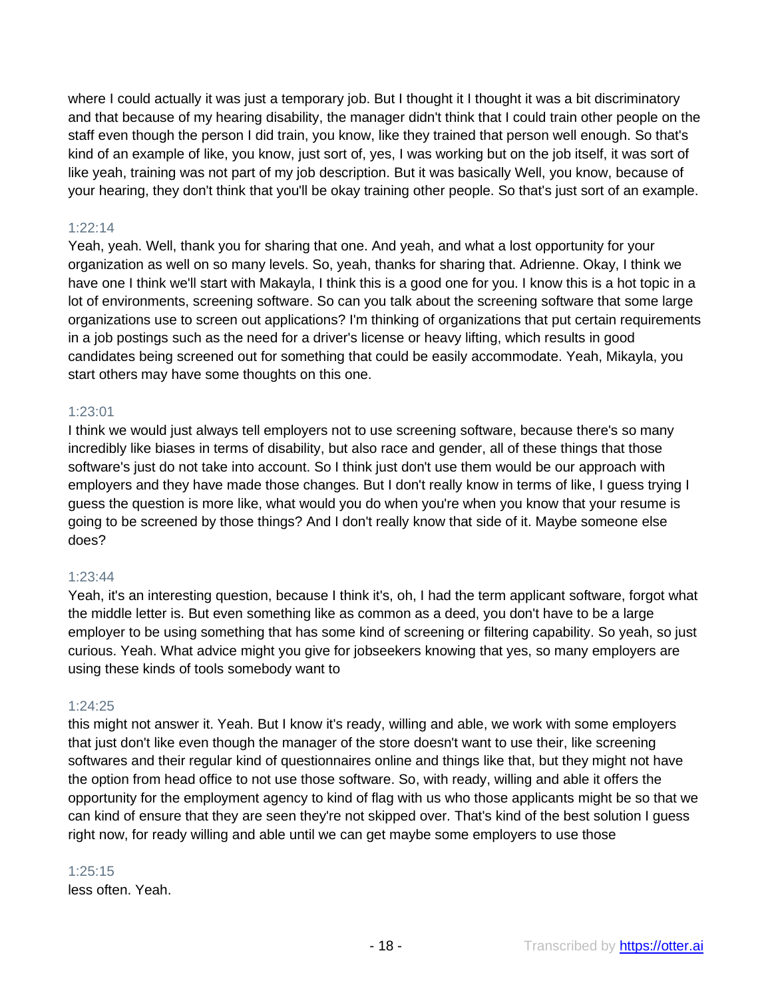where I could actually it was just a temporary job. But I thought it I thought it was a bit discriminatory and that because of my hearing disability, the manager didn't think that I could train other people on the staff even though the person I did train, you know, like they trained that person well enough. So that's kind of an example of like, you know, just sort of, yes, I was working but on the job itself, it was sort of like yeah, training was not part of my job description. But it was basically Well, you know, because of your hearing, they don't think that you'll be okay training other people. So that's just sort of an example.

# 1:22:14

Yeah, yeah. Well, thank you for sharing that one. And yeah, and what a lost opportunity for your organization as well on so many levels. So, yeah, thanks for sharing that. Adrienne. Okay, I think we have one I think we'll start with Makayla, I think this is a good one for you. I know this is a hot topic in a lot of environments, screening software. So can you talk about the screening software that some large organizations use to screen out applications? I'm thinking of organizations that put certain requirements in a job postings such as the need for a driver's license or heavy lifting, which results in good candidates being screened out for something that could be easily accommodate. Yeah, Mikayla, you start others may have some thoughts on this one.

# 1:23:01

I think we would just always tell employers not to use screening software, because there's so many incredibly like biases in terms of disability, but also race and gender, all of these things that those software's just do not take into account. So I think just don't use them would be our approach with employers and they have made those changes. But I don't really know in terms of like, I guess trying I guess the question is more like, what would you do when you're when you know that your resume is going to be screened by those things? And I don't really know that side of it. Maybe someone else does?

#### 1:23:44

Yeah, it's an interesting question, because I think it's, oh, I had the term applicant software, forgot what the middle letter is. But even something like as common as a deed, you don't have to be a large employer to be using something that has some kind of screening or filtering capability. So yeah, so just curious. Yeah. What advice might you give for jobseekers knowing that yes, so many employers are using these kinds of tools somebody want to

## 1:24:25

this might not answer it. Yeah. But I know it's ready, willing and able, we work with some employers that just don't like even though the manager of the store doesn't want to use their, like screening softwares and their regular kind of questionnaires online and things like that, but they might not have the option from head office to not use those software. So, with ready, willing and able it offers the opportunity for the employment agency to kind of flag with us who those applicants might be so that we can kind of ensure that they are seen they're not skipped over. That's kind of the best solution I guess right now, for ready willing and able until we can get maybe some employers to use those

#### 1:25:15

less often. Yeah.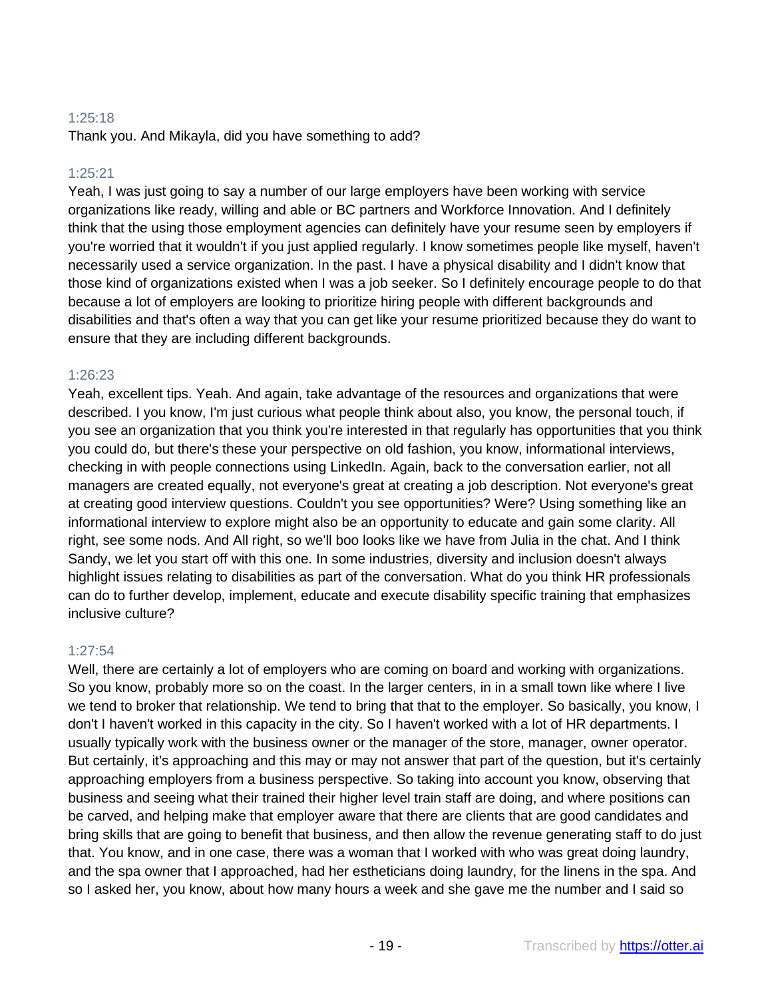# 1:25:18

Thank you. And Mikayla, did you have something to add?

# 1:25:21

Yeah, I was just going to say a number of our large employers have been working with service organizations like ready, willing and able or BC partners and Workforce Innovation. And I definitely think that the using those employment agencies can definitely have your resume seen by employers if you're worried that it wouldn't if you just applied regularly. I know sometimes people like myself, haven't necessarily used a service organization. In the past. I have a physical disability and I didn't know that those kind of organizations existed when I was a job seeker. So I definitely encourage people to do that because a lot of employers are looking to prioritize hiring people with different backgrounds and disabilities and that's often a way that you can get like your resume prioritized because they do want to ensure that they are including different backgrounds.

# 1:26:23

Yeah, excellent tips. Yeah. And again, take advantage of the resources and organizations that were described. I you know, I'm just curious what people think about also, you know, the personal touch, if you see an organization that you think you're interested in that regularly has opportunities that you think you could do, but there's these your perspective on old fashion, you know, informational interviews, checking in with people connections using LinkedIn. Again, back to the conversation earlier, not all managers are created equally, not everyone's great at creating a job description. Not everyone's great at creating good interview questions. Couldn't you see opportunities? Were? Using something like an informational interview to explore might also be an opportunity to educate and gain some clarity. All right, see some nods. And All right, so we'll boo looks like we have from Julia in the chat. And I think Sandy, we let you start off with this one. In some industries, diversity and inclusion doesn't always highlight issues relating to disabilities as part of the conversation. What do you think HR professionals can do to further develop, implement, educate and execute disability specific training that emphasizes inclusive culture?

## 1:27:54

Well, there are certainly a lot of employers who are coming on board and working with organizations. So you know, probably more so on the coast. In the larger centers, in in a small town like where I live we tend to broker that relationship. We tend to bring that that to the employer. So basically, you know, I don't I haven't worked in this capacity in the city. So I haven't worked with a lot of HR departments. I usually typically work with the business owner or the manager of the store, manager, owner operator. But certainly, it's approaching and this may or may not answer that part of the question, but it's certainly approaching employers from a business perspective. So taking into account you know, observing that business and seeing what their trained their higher level train staff are doing, and where positions can be carved, and helping make that employer aware that there are clients that are good candidates and bring skills that are going to benefit that business, and then allow the revenue generating staff to do just that. You know, and in one case, there was a woman that I worked with who was great doing laundry, and the spa owner that I approached, had her estheticians doing laundry, for the linens in the spa. And so I asked her, you know, about how many hours a week and she gave me the number and I said so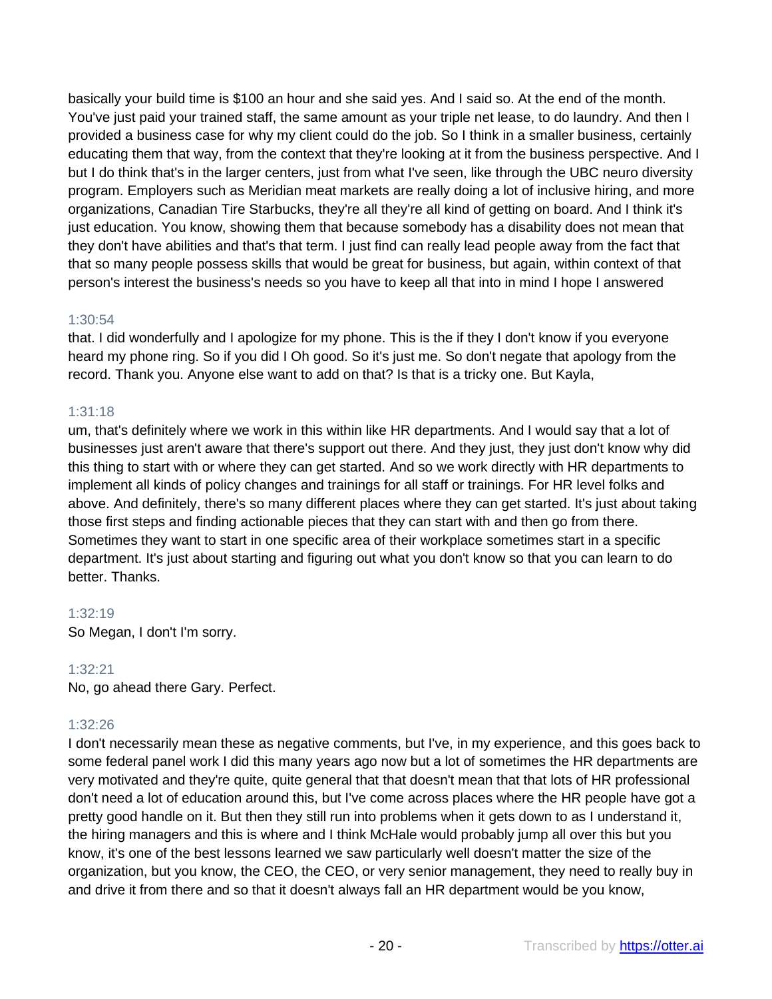basically your build time is \$100 an hour and she said yes. And I said so. At the end of the month. You've just paid your trained staff, the same amount as your triple net lease, to do laundry. And then I provided a business case for why my client could do the job. So I think in a smaller business, certainly educating them that way, from the context that they're looking at it from the business perspective. And I but I do think that's in the larger centers, just from what I've seen, like through the UBC neuro diversity program. Employers such as Meridian meat markets are really doing a lot of inclusive hiring, and more organizations, Canadian Tire Starbucks, they're all they're all kind of getting on board. And I think it's just education. You know, showing them that because somebody has a disability does not mean that they don't have abilities and that's that term. I just find can really lead people away from the fact that that so many people possess skills that would be great for business, but again, within context of that person's interest the business's needs so you have to keep all that into in mind I hope I answered

# 1:30:54

that. I did wonderfully and I apologize for my phone. This is the if they I don't know if you everyone heard my phone ring. So if you did I Oh good. So it's just me. So don't negate that apology from the record. Thank you. Anyone else want to add on that? Is that is a tricky one. But Kayla,

# 1:31:18

um, that's definitely where we work in this within like HR departments. And I would say that a lot of businesses just aren't aware that there's support out there. And they just, they just don't know why did this thing to start with or where they can get started. And so we work directly with HR departments to implement all kinds of policy changes and trainings for all staff or trainings. For HR level folks and above. And definitely, there's so many different places where they can get started. It's just about taking those first steps and finding actionable pieces that they can start with and then go from there. Sometimes they want to start in one specific area of their workplace sometimes start in a specific department. It's just about starting and figuring out what you don't know so that you can learn to do better. Thanks.

# 1:32:19

So Megan, I don't I'm sorry.

# 1:32:21

No, go ahead there Gary. Perfect.

# 1:32:26

I don't necessarily mean these as negative comments, but I've, in my experience, and this goes back to some federal panel work I did this many years ago now but a lot of sometimes the HR departments are very motivated and they're quite, quite general that that doesn't mean that that lots of HR professional don't need a lot of education around this, but I've come across places where the HR people have got a pretty good handle on it. But then they still run into problems when it gets down to as I understand it, the hiring managers and this is where and I think McHale would probably jump all over this but you know, it's one of the best lessons learned we saw particularly well doesn't matter the size of the organization, but you know, the CEO, the CEO, or very senior management, they need to really buy in and drive it from there and so that it doesn't always fall an HR department would be you know,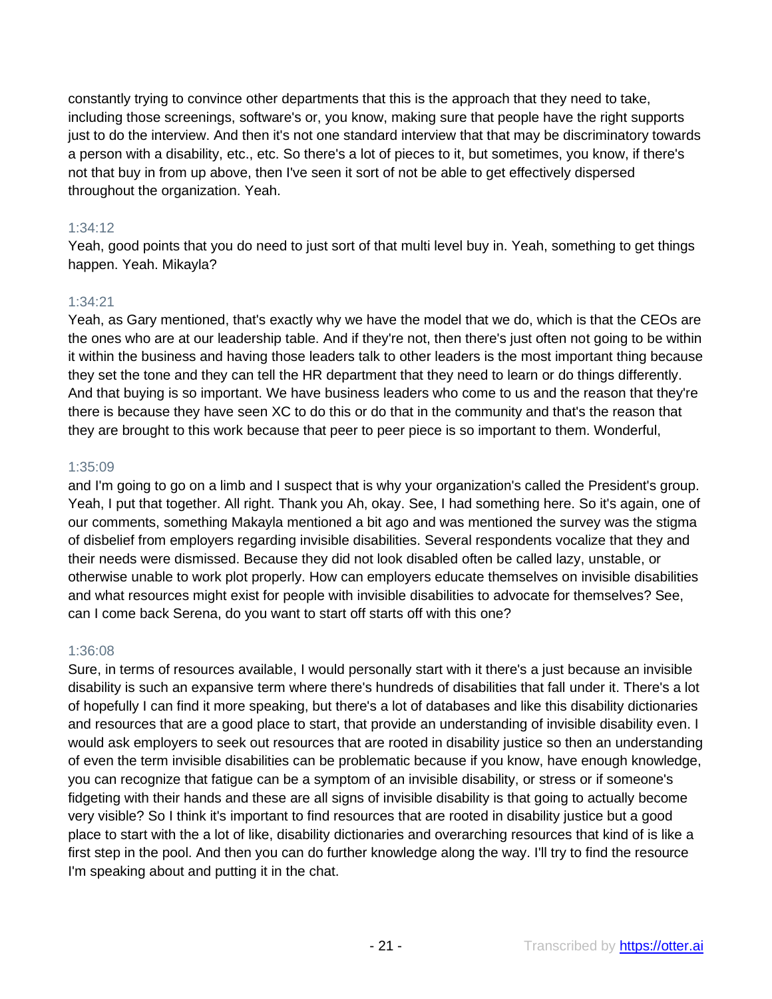constantly trying to convince other departments that this is the approach that they need to take, including those screenings, software's or, you know, making sure that people have the right supports just to do the interview. And then it's not one standard interview that that may be discriminatory towards a person with a disability, etc., etc. So there's a lot of pieces to it, but sometimes, you know, if there's not that buy in from up above, then I've seen it sort of not be able to get effectively dispersed throughout the organization. Yeah.

# 1:34:12

Yeah, good points that you do need to just sort of that multi level buy in. Yeah, something to get things happen. Yeah. Mikayla?

# 1:34:21

Yeah, as Gary mentioned, that's exactly why we have the model that we do, which is that the CEOs are the ones who are at our leadership table. And if they're not, then there's just often not going to be within it within the business and having those leaders talk to other leaders is the most important thing because they set the tone and they can tell the HR department that they need to learn or do things differently. And that buying is so important. We have business leaders who come to us and the reason that they're there is because they have seen XC to do this or do that in the community and that's the reason that they are brought to this work because that peer to peer piece is so important to them. Wonderful,

# 1:35:09

and I'm going to go on a limb and I suspect that is why your organization's called the President's group. Yeah, I put that together. All right. Thank you Ah, okay. See, I had something here. So it's again, one of our comments, something Makayla mentioned a bit ago and was mentioned the survey was the stigma of disbelief from employers regarding invisible disabilities. Several respondents vocalize that they and their needs were dismissed. Because they did not look disabled often be called lazy, unstable, or otherwise unable to work plot properly. How can employers educate themselves on invisible disabilities and what resources might exist for people with invisible disabilities to advocate for themselves? See, can I come back Serena, do you want to start off starts off with this one?

## 1:36:08

Sure, in terms of resources available, I would personally start with it there's a just because an invisible disability is such an expansive term where there's hundreds of disabilities that fall under it. There's a lot of hopefully I can find it more speaking, but there's a lot of databases and like this disability dictionaries and resources that are a good place to start, that provide an understanding of invisible disability even. I would ask employers to seek out resources that are rooted in disability justice so then an understanding of even the term invisible disabilities can be problematic because if you know, have enough knowledge, you can recognize that fatigue can be a symptom of an invisible disability, or stress or if someone's fidgeting with their hands and these are all signs of invisible disability is that going to actually become very visible? So I think it's important to find resources that are rooted in disability justice but a good place to start with the a lot of like, disability dictionaries and overarching resources that kind of is like a first step in the pool. And then you can do further knowledge along the way. I'll try to find the resource I'm speaking about and putting it in the chat.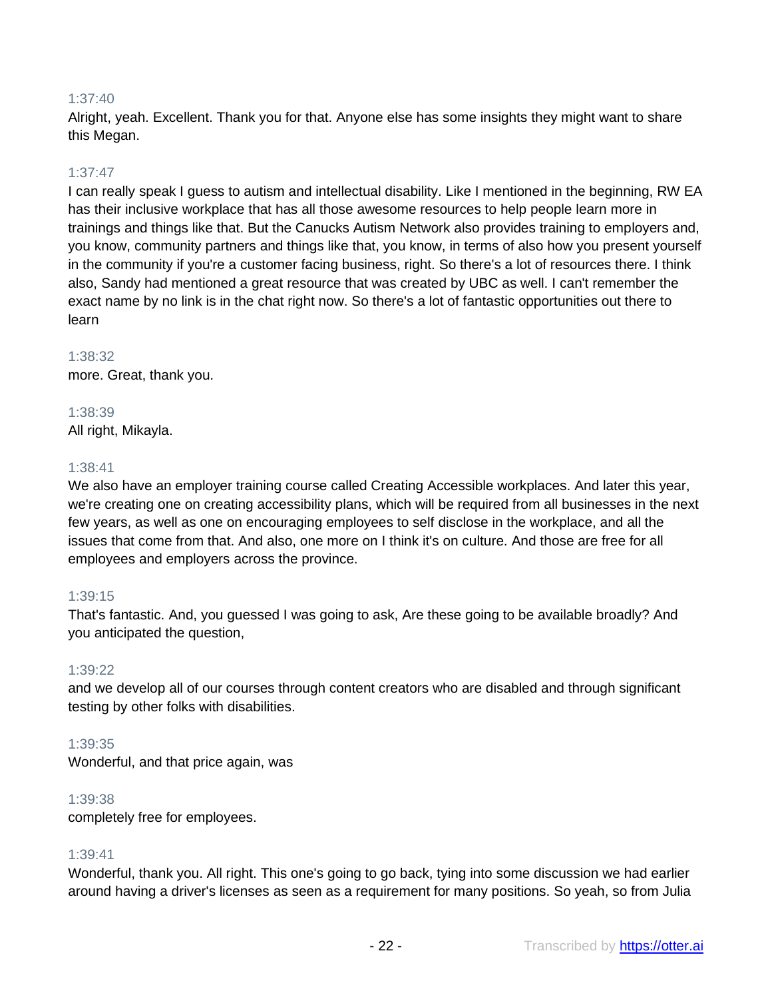# 1:37:40

Alright, yeah. Excellent. Thank you for that. Anyone else has some insights they might want to share this Megan.

## 1:37:47

I can really speak I guess to autism and intellectual disability. Like I mentioned in the beginning, RW EA has their inclusive workplace that has all those awesome resources to help people learn more in trainings and things like that. But the Canucks Autism Network also provides training to employers and, you know, community partners and things like that, you know, in terms of also how you present yourself in the community if you're a customer facing business, right. So there's a lot of resources there. I think also, Sandy had mentioned a great resource that was created by UBC as well. I can't remember the exact name by no link is in the chat right now. So there's a lot of fantastic opportunities out there to learn

#### 1:38:32

more. Great, thank you.

## 1:38:39

All right, Mikayla.

#### 1:38:41

We also have an employer training course called Creating Accessible workplaces. And later this year, we're creating one on creating accessibility plans, which will be required from all businesses in the next few years, as well as one on encouraging employees to self disclose in the workplace, and all the issues that come from that. And also, one more on I think it's on culture. And those are free for all employees and employers across the province.

## 1:39:15

That's fantastic. And, you guessed I was going to ask, Are these going to be available broadly? And you anticipated the question,

#### 1:39:22

and we develop all of our courses through content creators who are disabled and through significant testing by other folks with disabilities.

#### 1:39:35

Wonderful, and that price again, was

#### 1:39:38

completely free for employees.

## 1:39:41

Wonderful, thank you. All right. This one's going to go back, tying into some discussion we had earlier around having a driver's licenses as seen as a requirement for many positions. So yeah, so from Julia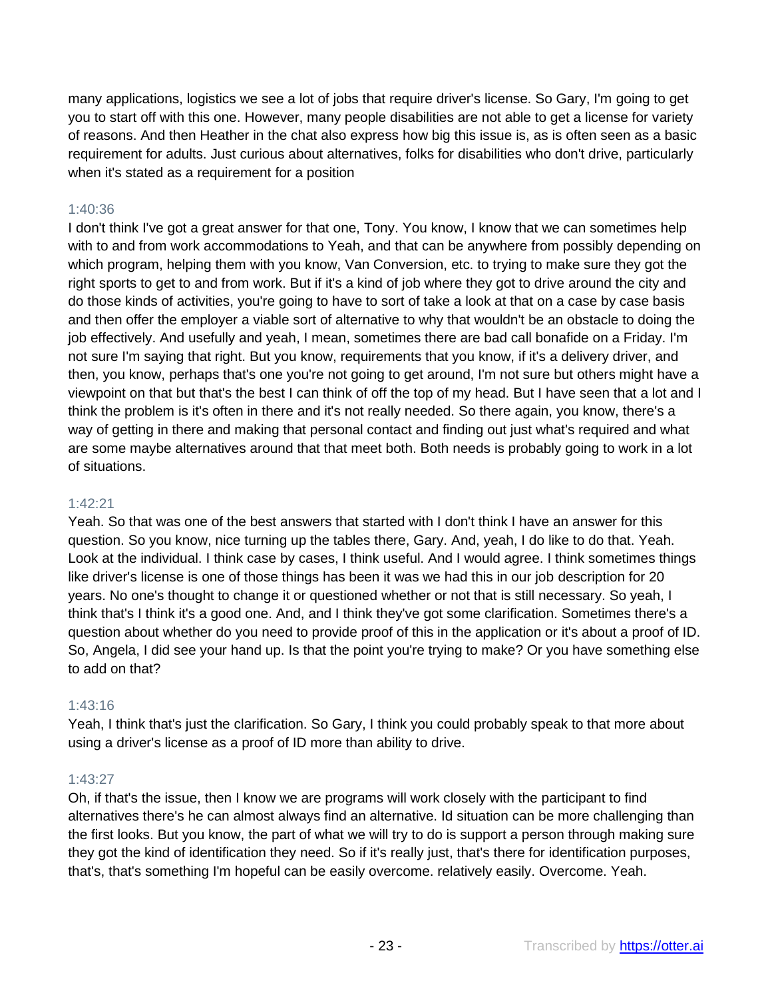many applications, logistics we see a lot of jobs that require driver's license. So Gary, I'm going to get you to start off with this one. However, many people disabilities are not able to get a license for variety of reasons. And then Heather in the chat also express how big this issue is, as is often seen as a basic requirement for adults. Just curious about alternatives, folks for disabilities who don't drive, particularly when it's stated as a requirement for a position

# 1:40:36

I don't think I've got a great answer for that one, Tony. You know, I know that we can sometimes help with to and from work accommodations to Yeah, and that can be anywhere from possibly depending on which program, helping them with you know, Van Conversion, etc. to trying to make sure they got the right sports to get to and from work. But if it's a kind of job where they got to drive around the city and do those kinds of activities, you're going to have to sort of take a look at that on a case by case basis and then offer the employer a viable sort of alternative to why that wouldn't be an obstacle to doing the job effectively. And usefully and yeah, I mean, sometimes there are bad call bonafide on a Friday. I'm not sure I'm saying that right. But you know, requirements that you know, if it's a delivery driver, and then, you know, perhaps that's one you're not going to get around, I'm not sure but others might have a viewpoint on that but that's the best I can think of off the top of my head. But I have seen that a lot and I think the problem is it's often in there and it's not really needed. So there again, you know, there's a way of getting in there and making that personal contact and finding out just what's required and what are some maybe alternatives around that that meet both. Both needs is probably going to work in a lot of situations.

## 1:42:21

Yeah. So that was one of the best answers that started with I don't think I have an answer for this question. So you know, nice turning up the tables there, Gary. And, yeah, I do like to do that. Yeah. Look at the individual. I think case by cases, I think useful. And I would agree. I think sometimes things like driver's license is one of those things has been it was we had this in our job description for 20 years. No one's thought to change it or questioned whether or not that is still necessary. So yeah, I think that's I think it's a good one. And, and I think they've got some clarification. Sometimes there's a question about whether do you need to provide proof of this in the application or it's about a proof of ID. So, Angela, I did see your hand up. Is that the point you're trying to make? Or you have something else to add on that?

## 1:43:16

Yeah, I think that's just the clarification. So Gary, I think you could probably speak to that more about using a driver's license as a proof of ID more than ability to drive.

## 1:43:27

Oh, if that's the issue, then I know we are programs will work closely with the participant to find alternatives there's he can almost always find an alternative. Id situation can be more challenging than the first looks. But you know, the part of what we will try to do is support a person through making sure they got the kind of identification they need. So if it's really just, that's there for identification purposes, that's, that's something I'm hopeful can be easily overcome. relatively easily. Overcome. Yeah.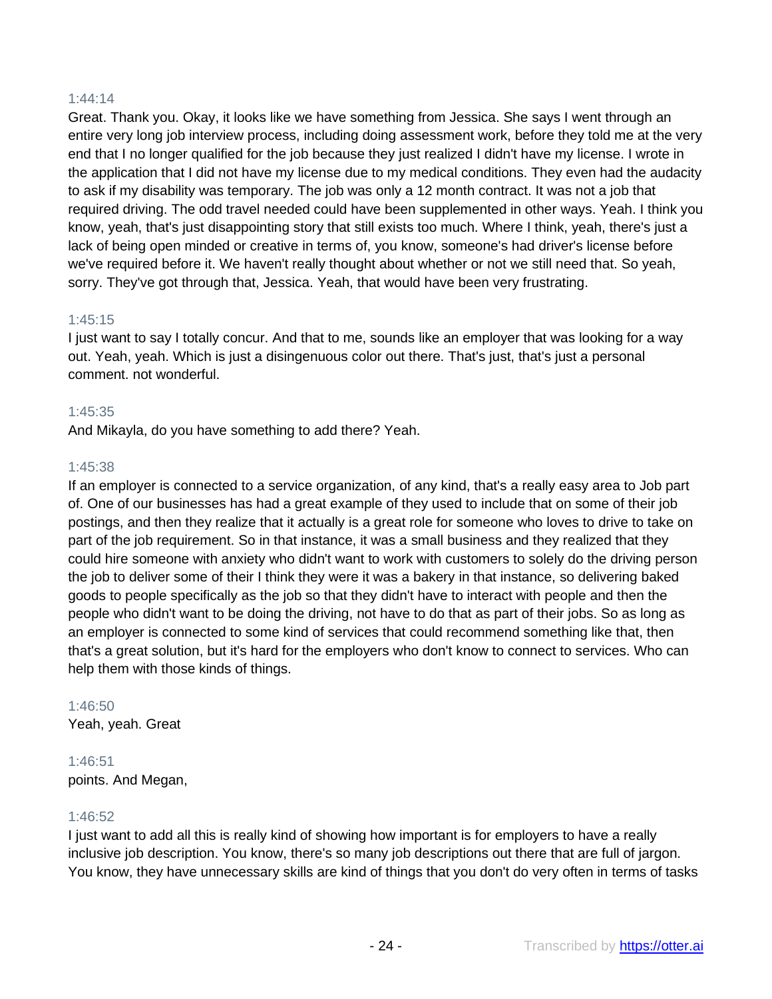#### 1:44:14

Great. Thank you. Okay, it looks like we have something from Jessica. She says I went through an entire very long job interview process, including doing assessment work, before they told me at the very end that I no longer qualified for the job because they just realized I didn't have my license. I wrote in the application that I did not have my license due to my medical conditions. They even had the audacity to ask if my disability was temporary. The job was only a 12 month contract. It was not a job that required driving. The odd travel needed could have been supplemented in other ways. Yeah. I think you know, yeah, that's just disappointing story that still exists too much. Where I think, yeah, there's just a lack of being open minded or creative in terms of, you know, someone's had driver's license before we've required before it. We haven't really thought about whether or not we still need that. So yeah, sorry. They've got through that, Jessica. Yeah, that would have been very frustrating.

#### 1:45:15

I just want to say I totally concur. And that to me, sounds like an employer that was looking for a way out. Yeah, yeah. Which is just a disingenuous color out there. That's just, that's just a personal comment. not wonderful.

#### 1:45:35

And Mikayla, do you have something to add there? Yeah.

#### 1:45:38

If an employer is connected to a service organization, of any kind, that's a really easy area to Job part of. One of our businesses has had a great example of they used to include that on some of their job postings, and then they realize that it actually is a great role for someone who loves to drive to take on part of the job requirement. So in that instance, it was a small business and they realized that they could hire someone with anxiety who didn't want to work with customers to solely do the driving person the job to deliver some of their I think they were it was a bakery in that instance, so delivering baked goods to people specifically as the job so that they didn't have to interact with people and then the people who didn't want to be doing the driving, not have to do that as part of their jobs. So as long as an employer is connected to some kind of services that could recommend something like that, then that's a great solution, but it's hard for the employers who don't know to connect to services. Who can help them with those kinds of things.

#### 1:46:50

Yeah, yeah. Great

# 1:46:51

points. And Megan,

## 1:46:52

I just want to add all this is really kind of showing how important is for employers to have a really inclusive job description. You know, there's so many job descriptions out there that are full of jargon. You know, they have unnecessary skills are kind of things that you don't do very often in terms of tasks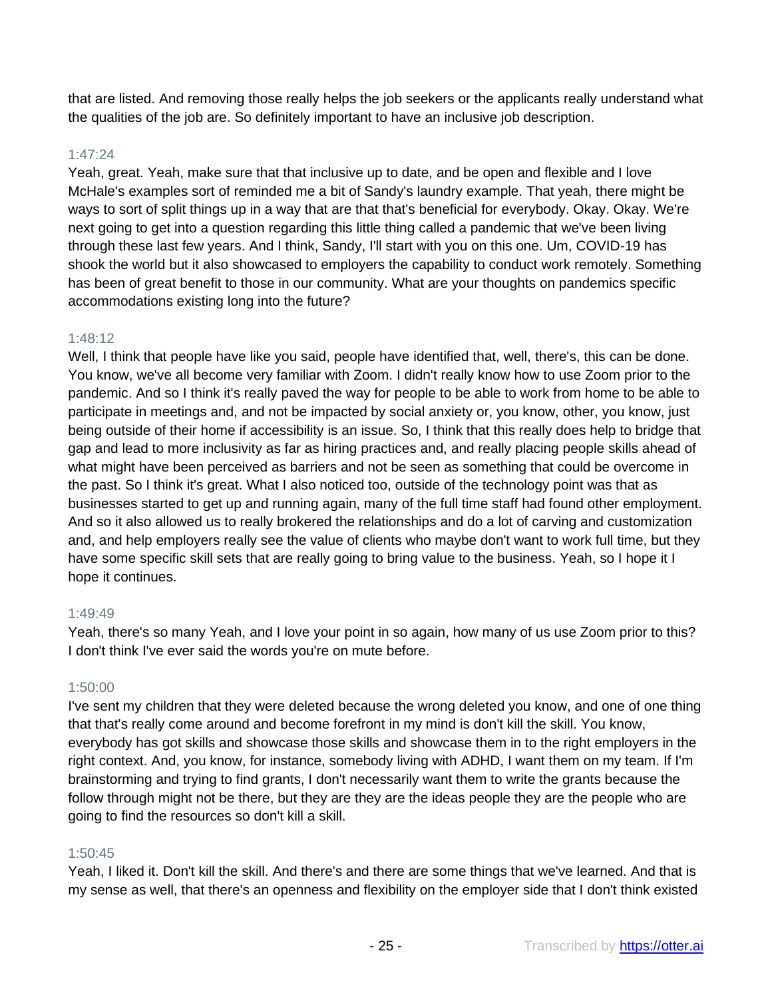that are listed. And removing those really helps the job seekers or the applicants really understand what the qualities of the job are. So definitely important to have an inclusive job description.

# 1:47:24

Yeah, great. Yeah, make sure that that inclusive up to date, and be open and flexible and I love McHale's examples sort of reminded me a bit of Sandy's laundry example. That yeah, there might be ways to sort of split things up in a way that are that that's beneficial for everybody. Okay. Okay. We're next going to get into a question regarding this little thing called a pandemic that we've been living through these last few years. And I think, Sandy, I'll start with you on this one. Um, COVID-19 has shook the world but it also showcased to employers the capability to conduct work remotely. Something has been of great benefit to those in our community. What are your thoughts on pandemics specific accommodations existing long into the future?

# 1:48:12

Well, I think that people have like you said, people have identified that, well, there's, this can be done. You know, we've all become very familiar with Zoom. I didn't really know how to use Zoom prior to the pandemic. And so I think it's really paved the way for people to be able to work from home to be able to participate in meetings and, and not be impacted by social anxiety or, you know, other, you know, just being outside of their home if accessibility is an issue. So, I think that this really does help to bridge that gap and lead to more inclusivity as far as hiring practices and, and really placing people skills ahead of what might have been perceived as barriers and not be seen as something that could be overcome in the past. So I think it's great. What I also noticed too, outside of the technology point was that as businesses started to get up and running again, many of the full time staff had found other employment. And so it also allowed us to really brokered the relationships and do a lot of carving and customization and, and help employers really see the value of clients who maybe don't want to work full time, but they have some specific skill sets that are really going to bring value to the business. Yeah, so I hope it I hope it continues.

## 1:49:49

Yeah, there's so many Yeah, and I love your point in so again, how many of us use Zoom prior to this? I don't think I've ever said the words you're on mute before.

# 1:50:00

I've sent my children that they were deleted because the wrong deleted you know, and one of one thing that that's really come around and become forefront in my mind is don't kill the skill. You know, everybody has got skills and showcase those skills and showcase them in to the right employers in the right context. And, you know, for instance, somebody living with ADHD, I want them on my team. If I'm brainstorming and trying to find grants, I don't necessarily want them to write the grants because the follow through might not be there, but they are they are the ideas people they are the people who are going to find the resources so don't kill a skill.

# 1:50:45

Yeah, I liked it. Don't kill the skill. And there's and there are some things that we've learned. And that is my sense as well, that there's an openness and flexibility on the employer side that I don't think existed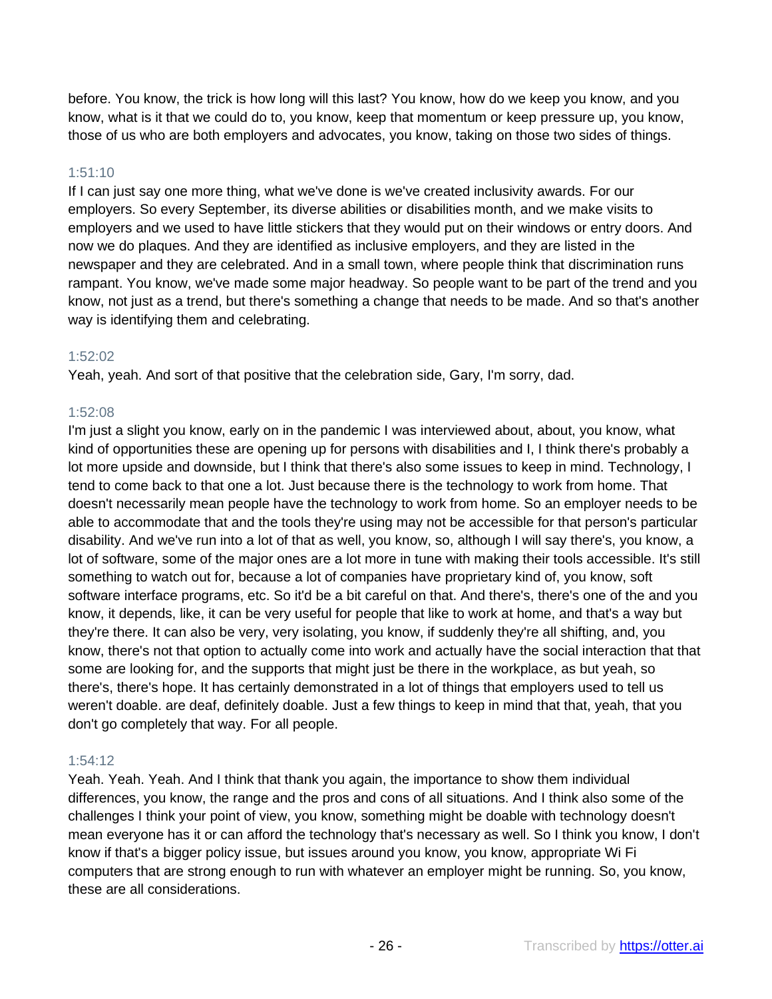before. You know, the trick is how long will this last? You know, how do we keep you know, and you know, what is it that we could do to, you know, keep that momentum or keep pressure up, you know, those of us who are both employers and advocates, you know, taking on those two sides of things.

# 1:51:10

If I can just say one more thing, what we've done is we've created inclusivity awards. For our employers. So every September, its diverse abilities or disabilities month, and we make visits to employers and we used to have little stickers that they would put on their windows or entry doors. And now we do plaques. And they are identified as inclusive employers, and they are listed in the newspaper and they are celebrated. And in a small town, where people think that discrimination runs rampant. You know, we've made some major headway. So people want to be part of the trend and you know, not just as a trend, but there's something a change that needs to be made. And so that's another way is identifying them and celebrating.

# 1:52:02

Yeah, yeah. And sort of that positive that the celebration side, Gary, I'm sorry, dad.

# 1:52:08

I'm just a slight you know, early on in the pandemic I was interviewed about, about, you know, what kind of opportunities these are opening up for persons with disabilities and I, I think there's probably a lot more upside and downside, but I think that there's also some issues to keep in mind. Technology, I tend to come back to that one a lot. Just because there is the technology to work from home. That doesn't necessarily mean people have the technology to work from home. So an employer needs to be able to accommodate that and the tools they're using may not be accessible for that person's particular disability. And we've run into a lot of that as well, you know, so, although I will say there's, you know, a lot of software, some of the major ones are a lot more in tune with making their tools accessible. It's still something to watch out for, because a lot of companies have proprietary kind of, you know, soft software interface programs, etc. So it'd be a bit careful on that. And there's, there's one of the and you know, it depends, like, it can be very useful for people that like to work at home, and that's a way but they're there. It can also be very, very isolating, you know, if suddenly they're all shifting, and, you know, there's not that option to actually come into work and actually have the social interaction that that some are looking for, and the supports that might just be there in the workplace, as but yeah, so there's, there's hope. It has certainly demonstrated in a lot of things that employers used to tell us weren't doable. are deaf, definitely doable. Just a few things to keep in mind that that, yeah, that you don't go completely that way. For all people.

# 1:54:12

Yeah. Yeah. Yeah. And I think that thank you again, the importance to show them individual differences, you know, the range and the pros and cons of all situations. And I think also some of the challenges I think your point of view, you know, something might be doable with technology doesn't mean everyone has it or can afford the technology that's necessary as well. So I think you know, I don't know if that's a bigger policy issue, but issues around you know, you know, appropriate Wi Fi computers that are strong enough to run with whatever an employer might be running. So, you know, these are all considerations.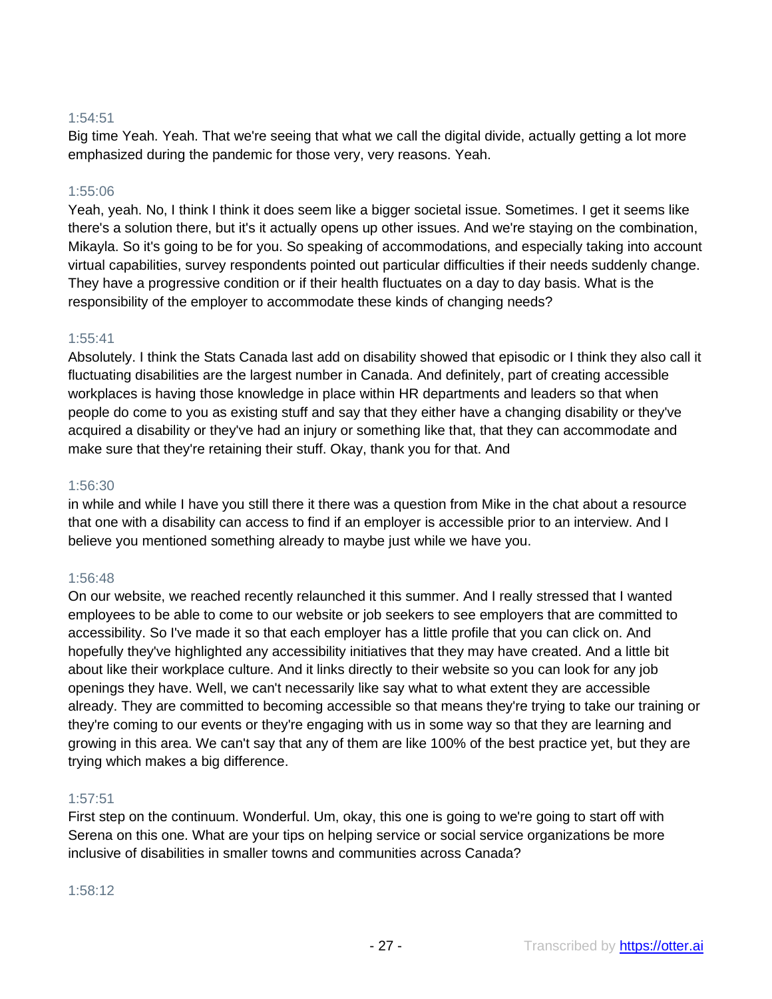# 1:54:51

Big time Yeah. Yeah. That we're seeing that what we call the digital divide, actually getting a lot more emphasized during the pandemic for those very, very reasons. Yeah.

## 1:55:06

Yeah, yeah. No, I think I think it does seem like a bigger societal issue. Sometimes. I get it seems like there's a solution there, but it's it actually opens up other issues. And we're staying on the combination, Mikayla. So it's going to be for you. So speaking of accommodations, and especially taking into account virtual capabilities, survey respondents pointed out particular difficulties if their needs suddenly change. They have a progressive condition or if their health fluctuates on a day to day basis. What is the responsibility of the employer to accommodate these kinds of changing needs?

#### 1:55:41

Absolutely. I think the Stats Canada last add on disability showed that episodic or I think they also call it fluctuating disabilities are the largest number in Canada. And definitely, part of creating accessible workplaces is having those knowledge in place within HR departments and leaders so that when people do come to you as existing stuff and say that they either have a changing disability or they've acquired a disability or they've had an injury or something like that, that they can accommodate and make sure that they're retaining their stuff. Okay, thank you for that. And

#### 1:56:30

in while and while I have you still there it there was a question from Mike in the chat about a resource that one with a disability can access to find if an employer is accessible prior to an interview. And I believe you mentioned something already to maybe just while we have you.

## 1:56:48

On our website, we reached recently relaunched it this summer. And I really stressed that I wanted employees to be able to come to our website or job seekers to see employers that are committed to accessibility. So I've made it so that each employer has a little profile that you can click on. And hopefully they've highlighted any accessibility initiatives that they may have created. And a little bit about like their workplace culture. And it links directly to their website so you can look for any job openings they have. Well, we can't necessarily like say what to what extent they are accessible already. They are committed to becoming accessible so that means they're trying to take our training or they're coming to our events or they're engaging with us in some way so that they are learning and growing in this area. We can't say that any of them are like 100% of the best practice yet, but they are trying which makes a big difference.

#### 1:57:51

First step on the continuum. Wonderful. Um, okay, this one is going to we're going to start off with Serena on this one. What are your tips on helping service or social service organizations be more inclusive of disabilities in smaller towns and communities across Canada?

#### 1:58:12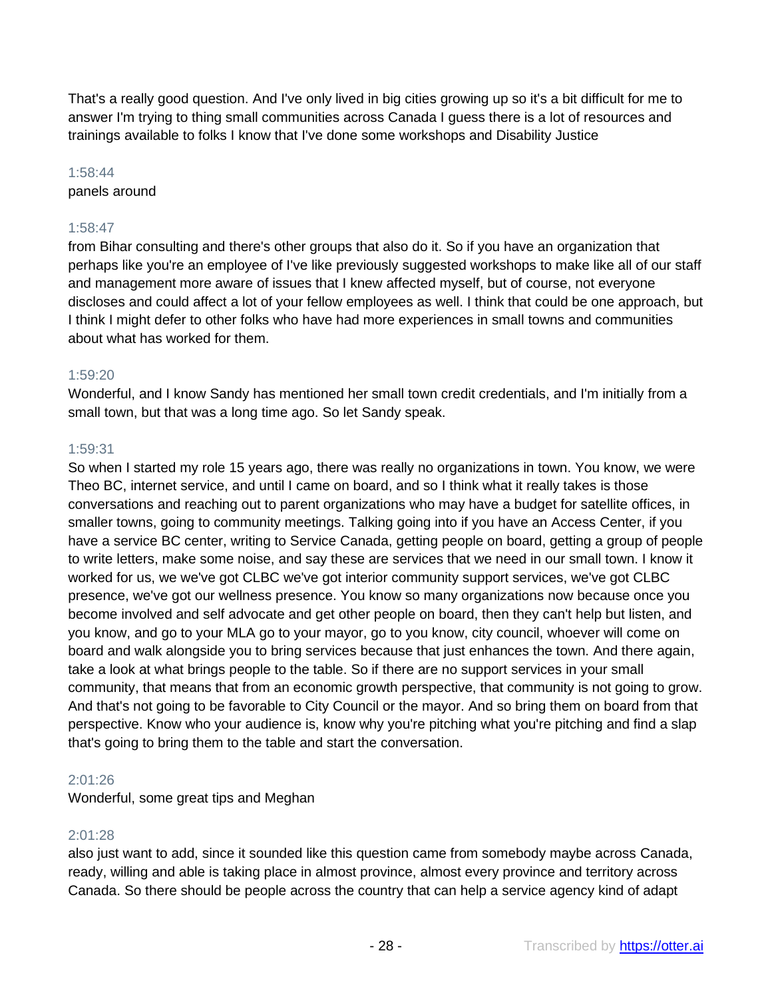That's a really good question. And I've only lived in big cities growing up so it's a bit difficult for me to answer I'm trying to thing small communities across Canada I guess there is a lot of resources and trainings available to folks I know that I've done some workshops and Disability Justice

# 1:58:44 panels around

# 1:58:47

from Bihar consulting and there's other groups that also do it. So if you have an organization that perhaps like you're an employee of I've like previously suggested workshops to make like all of our staff and management more aware of issues that I knew affected myself, but of course, not everyone discloses and could affect a lot of your fellow employees as well. I think that could be one approach, but I think I might defer to other folks who have had more experiences in small towns and communities about what has worked for them.

# 1:59:20

Wonderful, and I know Sandy has mentioned her small town credit credentials, and I'm initially from a small town, but that was a long time ago. So let Sandy speak.

# 1:59:31

So when I started my role 15 years ago, there was really no organizations in town. You know, we were Theo BC, internet service, and until I came on board, and so I think what it really takes is those conversations and reaching out to parent organizations who may have a budget for satellite offices, in smaller towns, going to community meetings. Talking going into if you have an Access Center, if you have a service BC center, writing to Service Canada, getting people on board, getting a group of people to write letters, make some noise, and say these are services that we need in our small town. I know it worked for us, we we've got CLBC we've got interior community support services, we've got CLBC presence, we've got our wellness presence. You know so many organizations now because once you become involved and self advocate and get other people on board, then they can't help but listen, and you know, and go to your MLA go to your mayor, go to you know, city council, whoever will come on board and walk alongside you to bring services because that just enhances the town. And there again, take a look at what brings people to the table. So if there are no support services in your small community, that means that from an economic growth perspective, that community is not going to grow. And that's not going to be favorable to City Council or the mayor. And so bring them on board from that perspective. Know who your audience is, know why you're pitching what you're pitching and find a slap that's going to bring them to the table and start the conversation.

# 2:01:26

Wonderful, some great tips and Meghan

# 2:01:28

also just want to add, since it sounded like this question came from somebody maybe across Canada, ready, willing and able is taking place in almost province, almost every province and territory across Canada. So there should be people across the country that can help a service agency kind of adapt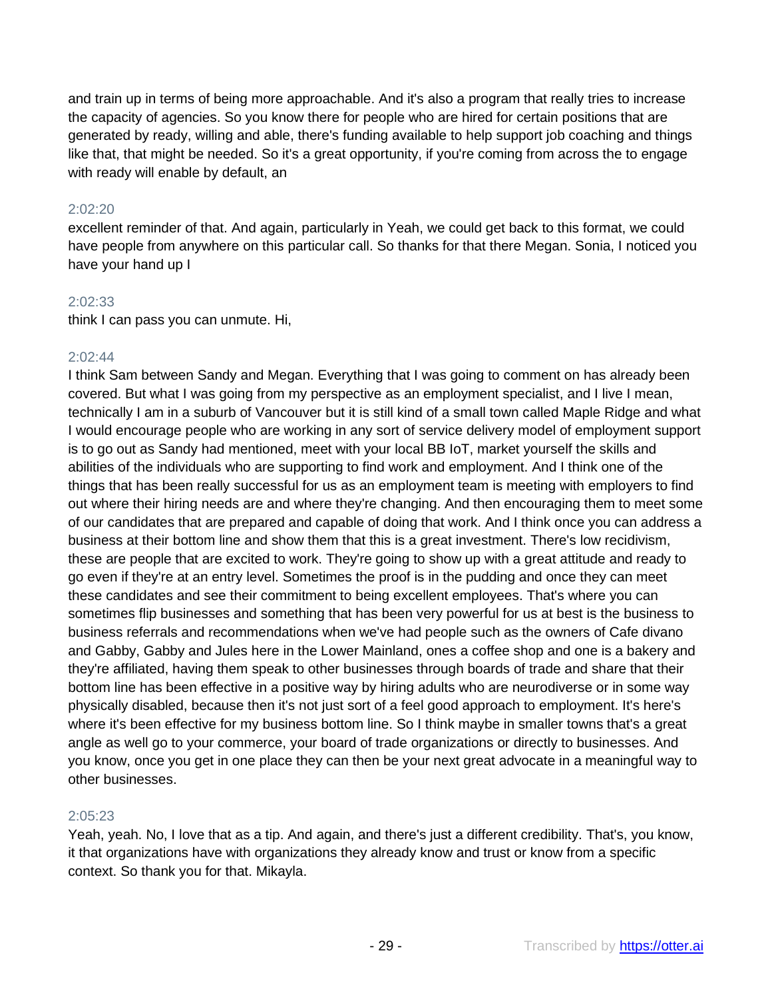and train up in terms of being more approachable. And it's also a program that really tries to increase the capacity of agencies. So you know there for people who are hired for certain positions that are generated by ready, willing and able, there's funding available to help support job coaching and things like that, that might be needed. So it's a great opportunity, if you're coming from across the to engage with ready will enable by default, an

#### 2:02:20

excellent reminder of that. And again, particularly in Yeah, we could get back to this format, we could have people from anywhere on this particular call. So thanks for that there Megan. Sonia, I noticed you have your hand up I

#### 2:02:33

think I can pass you can unmute. Hi,

#### $2.02.44$

I think Sam between Sandy and Megan. Everything that I was going to comment on has already been covered. But what I was going from my perspective as an employment specialist, and I live I mean, technically I am in a suburb of Vancouver but it is still kind of a small town called Maple Ridge and what I would encourage people who are working in any sort of service delivery model of employment support is to go out as Sandy had mentioned, meet with your local BB IoT, market yourself the skills and abilities of the individuals who are supporting to find work and employment. And I think one of the things that has been really successful for us as an employment team is meeting with employers to find out where their hiring needs are and where they're changing. And then encouraging them to meet some of our candidates that are prepared and capable of doing that work. And I think once you can address a business at their bottom line and show them that this is a great investment. There's low recidivism, these are people that are excited to work. They're going to show up with a great attitude and ready to go even if they're at an entry level. Sometimes the proof is in the pudding and once they can meet these candidates and see their commitment to being excellent employees. That's where you can sometimes flip businesses and something that has been very powerful for us at best is the business to business referrals and recommendations when we've had people such as the owners of Cafe divano and Gabby, Gabby and Jules here in the Lower Mainland, ones a coffee shop and one is a bakery and they're affiliated, having them speak to other businesses through boards of trade and share that their bottom line has been effective in a positive way by hiring adults who are neurodiverse or in some way physically disabled, because then it's not just sort of a feel good approach to employment. It's here's where it's been effective for my business bottom line. So I think maybe in smaller towns that's a great angle as well go to your commerce, your board of trade organizations or directly to businesses. And you know, once you get in one place they can then be your next great advocate in a meaningful way to other businesses.

## 2:05:23

Yeah, yeah. No, I love that as a tip. And again, and there's just a different credibility. That's, you know, it that organizations have with organizations they already know and trust or know from a specific context. So thank you for that. Mikayla.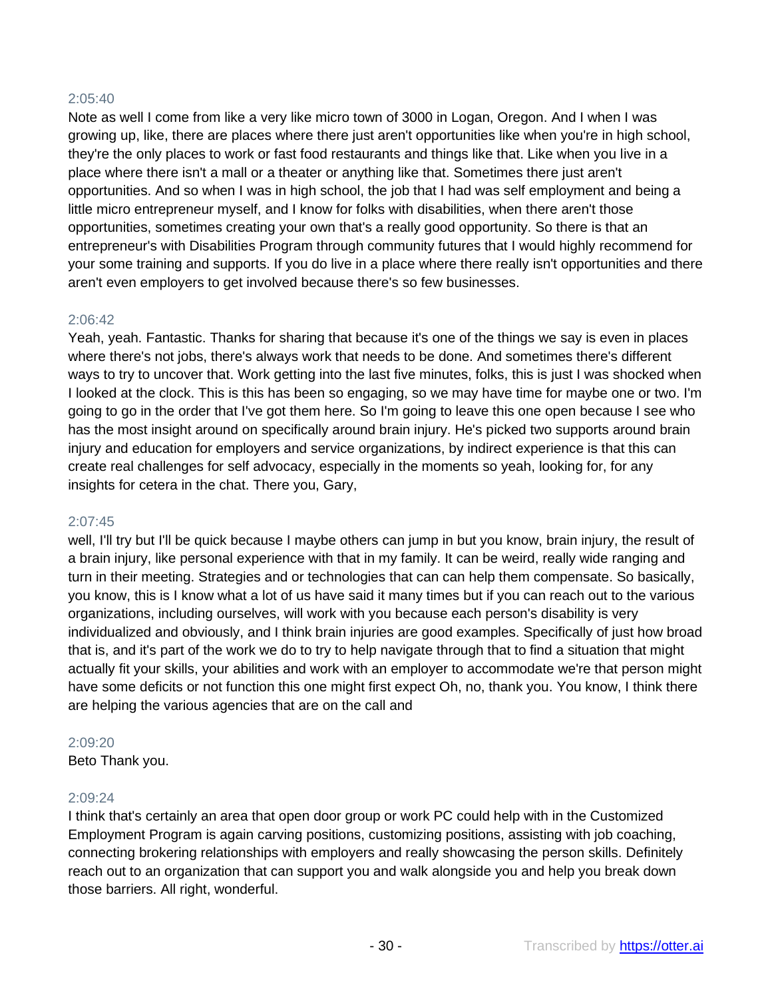# 2:05:40

Note as well I come from like a very like micro town of 3000 in Logan, Oregon. And I when I was growing up, like, there are places where there just aren't opportunities like when you're in high school, they're the only places to work or fast food restaurants and things like that. Like when you live in a place where there isn't a mall or a theater or anything like that. Sometimes there just aren't opportunities. And so when I was in high school, the job that I had was self employment and being a little micro entrepreneur myself, and I know for folks with disabilities, when there aren't those opportunities, sometimes creating your own that's a really good opportunity. So there is that an entrepreneur's with Disabilities Program through community futures that I would highly recommend for your some training and supports. If you do live in a place where there really isn't opportunities and there aren't even employers to get involved because there's so few businesses.

# 2:06:42

Yeah, yeah. Fantastic. Thanks for sharing that because it's one of the things we say is even in places where there's not jobs, there's always work that needs to be done. And sometimes there's different ways to try to uncover that. Work getting into the last five minutes, folks, this is just I was shocked when I looked at the clock. This is this has been so engaging, so we may have time for maybe one or two. I'm going to go in the order that I've got them here. So I'm going to leave this one open because I see who has the most insight around on specifically around brain injury. He's picked two supports around brain injury and education for employers and service organizations, by indirect experience is that this can create real challenges for self advocacy, especially in the moments so yeah, looking for, for any insights for cetera in the chat. There you, Gary,

#### 2:07:45

well, I'll try but I'll be quick because I maybe others can jump in but you know, brain injury, the result of a brain injury, like personal experience with that in my family. It can be weird, really wide ranging and turn in their meeting. Strategies and or technologies that can can help them compensate. So basically, you know, this is I know what a lot of us have said it many times but if you can reach out to the various organizations, including ourselves, will work with you because each person's disability is very individualized and obviously, and I think brain injuries are good examples. Specifically of just how broad that is, and it's part of the work we do to try to help navigate through that to find a situation that might actually fit your skills, your abilities and work with an employer to accommodate we're that person might have some deficits or not function this one might first expect Oh, no, thank you. You know, I think there are helping the various agencies that are on the call and

## 2:09:20

Beto Thank you.

## 2:09:24

I think that's certainly an area that open door group or work PC could help with in the Customized Employment Program is again carving positions, customizing positions, assisting with job coaching, connecting brokering relationships with employers and really showcasing the person skills. Definitely reach out to an organization that can support you and walk alongside you and help you break down those barriers. All right, wonderful.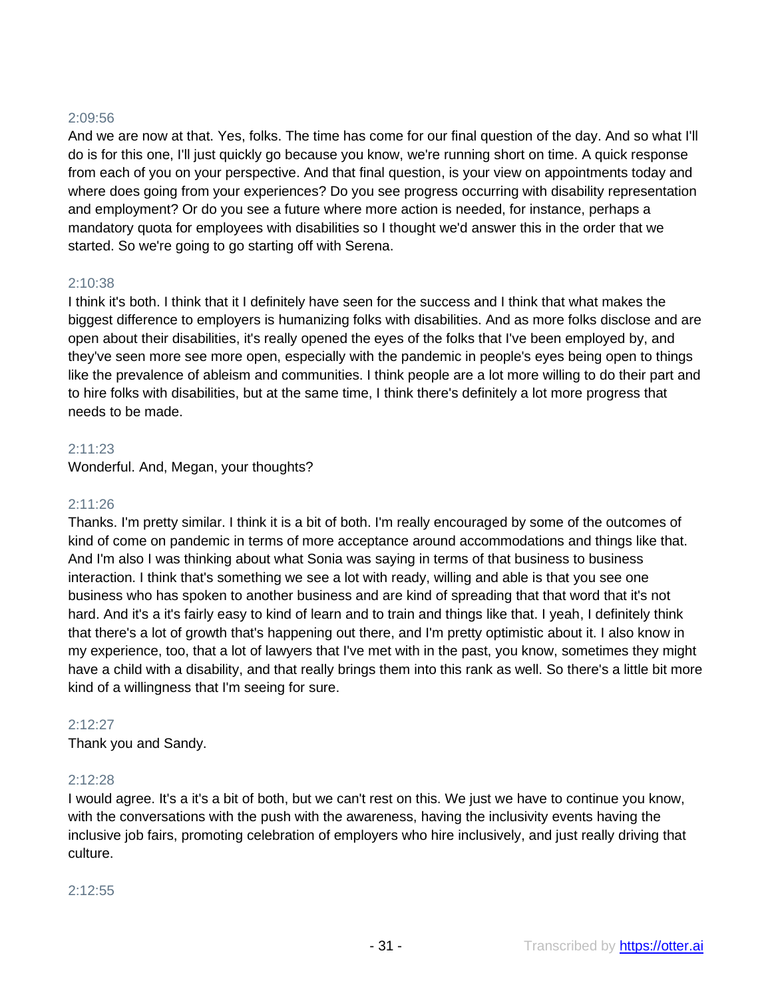# 2:09:56

And we are now at that. Yes, folks. The time has come for our final question of the day. And so what I'll do is for this one, I'll just quickly go because you know, we're running short on time. A quick response from each of you on your perspective. And that final question, is your view on appointments today and where does going from your experiences? Do you see progress occurring with disability representation and employment? Or do you see a future where more action is needed, for instance, perhaps a mandatory quota for employees with disabilities so I thought we'd answer this in the order that we started. So we're going to go starting off with Serena.

## 2:10:38

I think it's both. I think that it I definitely have seen for the success and I think that what makes the biggest difference to employers is humanizing folks with disabilities. And as more folks disclose and are open about their disabilities, it's really opened the eyes of the folks that I've been employed by, and they've seen more see more open, especially with the pandemic in people's eyes being open to things like the prevalence of ableism and communities. I think people are a lot more willing to do their part and to hire folks with disabilities, but at the same time, I think there's definitely a lot more progress that needs to be made.

#### 2:11:23

Wonderful. And, Megan, your thoughts?

#### 2:11:26

Thanks. I'm pretty similar. I think it is a bit of both. I'm really encouraged by some of the outcomes of kind of come on pandemic in terms of more acceptance around accommodations and things like that. And I'm also I was thinking about what Sonia was saying in terms of that business to business interaction. I think that's something we see a lot with ready, willing and able is that you see one business who has spoken to another business and are kind of spreading that that word that it's not hard. And it's a it's fairly easy to kind of learn and to train and things like that. I yeah, I definitely think that there's a lot of growth that's happening out there, and I'm pretty optimistic about it. I also know in my experience, too, that a lot of lawyers that I've met with in the past, you know, sometimes they might have a child with a disability, and that really brings them into this rank as well. So there's a little bit more kind of a willingness that I'm seeing for sure.

## 2:12:27

Thank you and Sandy.

## 2:12:28

I would agree. It's a it's a bit of both, but we can't rest on this. We just we have to continue you know, with the conversations with the push with the awareness, having the inclusivity events having the inclusive job fairs, promoting celebration of employers who hire inclusively, and just really driving that culture.

#### 2:12:55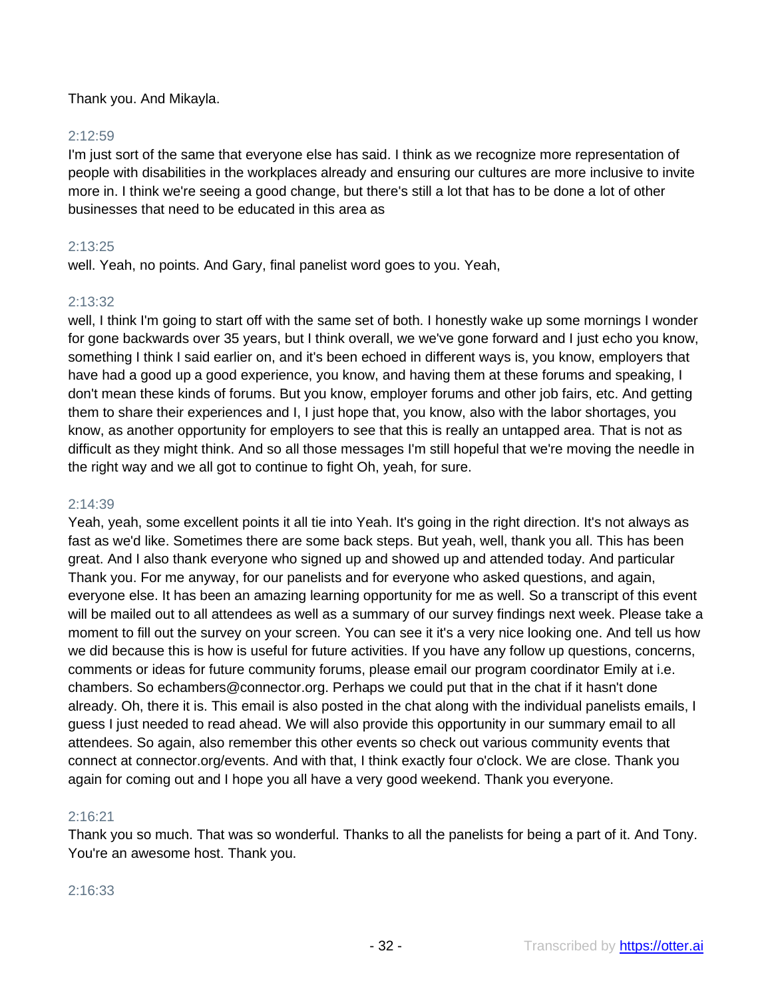Thank you. And Mikayla.

# 2:12:59

I'm just sort of the same that everyone else has said. I think as we recognize more representation of people with disabilities in the workplaces already and ensuring our cultures are more inclusive to invite more in. I think we're seeing a good change, but there's still a lot that has to be done a lot of other businesses that need to be educated in this area as

# 2:13:25

well. Yeah, no points. And Gary, final panelist word goes to you. Yeah,

# 2:13:32

well, I think I'm going to start off with the same set of both. I honestly wake up some mornings I wonder for gone backwards over 35 years, but I think overall, we we've gone forward and I just echo you know, something I think I said earlier on, and it's been echoed in different ways is, you know, employers that have had a good up a good experience, you know, and having them at these forums and speaking, I don't mean these kinds of forums. But you know, employer forums and other job fairs, etc. And getting them to share their experiences and I, I just hope that, you know, also with the labor shortages, you know, as another opportunity for employers to see that this is really an untapped area. That is not as difficult as they might think. And so all those messages I'm still hopeful that we're moving the needle in the right way and we all got to continue to fight Oh, yeah, for sure.

## 2:14:39

Yeah, yeah, some excellent points it all tie into Yeah. It's going in the right direction. It's not always as fast as we'd like. Sometimes there are some back steps. But yeah, well, thank you all. This has been great. And I also thank everyone who signed up and showed up and attended today. And particular Thank you. For me anyway, for our panelists and for everyone who asked questions, and again, everyone else. It has been an amazing learning opportunity for me as well. So a transcript of this event will be mailed out to all attendees as well as a summary of our survey findings next week. Please take a moment to fill out the survey on your screen. You can see it it's a very nice looking one. And tell us how we did because this is how is useful for future activities. If you have any follow up questions, concerns, comments or ideas for future community forums, please email our program coordinator Emily at i.e. chambers. So echambers@connector.org. Perhaps we could put that in the chat if it hasn't done already. Oh, there it is. This email is also posted in the chat along with the individual panelists emails, I guess I just needed to read ahead. We will also provide this opportunity in our summary email to all attendees. So again, also remember this other events so check out various community events that connect at connector.org/events. And with that, I think exactly four o'clock. We are close. Thank you again for coming out and I hope you all have a very good weekend. Thank you everyone.

## 2:16:21

Thank you so much. That was so wonderful. Thanks to all the panelists for being a part of it. And Tony. You're an awesome host. Thank you.

## 2:16:33